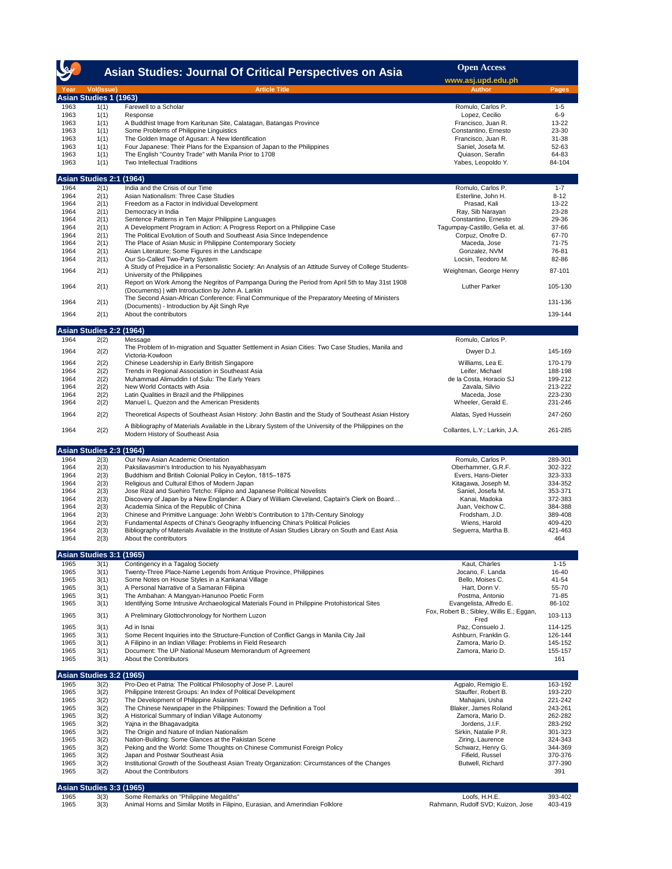|              |                                             | Asian Studies: Journal Of Critical Perspectives on Asia                                                                                              | <b>Open Access</b>                        |                    |
|--------------|---------------------------------------------|------------------------------------------------------------------------------------------------------------------------------------------------------|-------------------------------------------|--------------------|
|              |                                             |                                                                                                                                                      | www.asj.upd.edu.ph                        |                    |
| Year         | <b>Vol(Issue)</b><br>Asian Studies 1 (1963) | <b>Article Title</b>                                                                                                                                 | Author                                    | Pages              |
| 1963         | 1(1)                                        | Farewell to a Scholar                                                                                                                                | Romulo, Carlos P.                         | $1 - 5$            |
| 1963         | 1(1)                                        | Response                                                                                                                                             | Lopez, Cecilio                            | $6-9$              |
| 1963         | 1(1)                                        | A Buddhist Image from Karitunan Site, Calatagan, Batangas Province                                                                                   | Francisco, Juan R.                        | 13-22              |
| 1963<br>1963 | 1(1)                                        | Some Problems of Philippine Linguistics                                                                                                              | Constantino, Ernesto                      | 23-30<br>31-38     |
| 1963         | 1(1)<br>1(1)                                | The Golden Image of Agusan: A New Identification<br>Four Japanese: Their Plans for the Expansion of Japan to the Philippines                         | Francisco, Juan R.<br>Saniel, Josefa M.   | 52-63              |
| 1963         | 1(1)                                        | The English "Country Trade" with Manila Prior to 1708                                                                                                | Quiason, Serafin                          | 64-83              |
| 1963         | 1(1)                                        | Two Intellectual Traditions                                                                                                                          | Yabes, Leopoldo Y.                        | 84-104             |
|              | <b>Asian Studies 2:1</b>                    | (1964)                                                                                                                                               |                                           |                    |
| 1964         | 2(1)                                        | India and the Crisis of our Time                                                                                                                     | Romulo, Carlos P.                         | $1 - 7$            |
| 1964<br>1964 | 2(1)<br>2(1)                                | Asian Nationalism: Three Case Studies<br>Freedom as a Factor in Individual Development                                                               | Esterline, John H.<br>Prasad, Kali        | $8 - 12$<br>13-22  |
| 1964         | 2(1)                                        | Democracy in India                                                                                                                                   | Ray, Sib Narayan                          | 23-28              |
| 1964         | 2(1)                                        | Sentence Patterns in Ten Major Philippine Languages                                                                                                  | Constantino, Ernesto                      | 29-36              |
| 1964         | 2(1)                                        | A Development Program in Action: A Progress Report on a Philippine Case                                                                              | Tagumpay-Castillo, Gelia et. al.          | 37-66              |
| 1964         | 2(1)                                        | The Political Evolution of South and Southeast Asia Since Independence                                                                               | Corpuz, Onofre D.                         | 67-70              |
| 1964<br>1964 | 2(1)<br>2(1)                                | The Place of Asian Music in Philippine Contemporary Society<br>Asian Literature; Some Figures in the Landscape                                       | Maceda, Jose<br>Gonzalez, NVM             | $71 - 75$<br>76-81 |
| 1964         | 2(1)                                        | Our So-Called Two-Party System                                                                                                                       | Locsin, Teodoro M.                        | 82-86              |
| 1964         | 2(1)                                        | A Study of Prejudice in a Personalistic Society: An Analysis of an Attitude Survey of College Students-<br>University of the Philippines             | Weightman, George Henry                   | 87-101             |
| 1964         | 2(1)                                        | Report on Work Among the Negritos of Pampanga During the Period from April 5th to May 31st 1908<br>(Documents) I with Introduction by John A. Larkin | <b>Luther Parker</b>                      | 105-130            |
| 1964         | 2(1)                                        | The Second Asian-African Conference: Final Communique of the Preparatory Meeting of Ministers                                                        |                                           | 131-136            |
| 1964         | 2(1)                                        | (Documents) - Introduction by Ajit Singh Rye<br>About the contributors                                                                               |                                           | 139-144            |
|              | Asian Studies 2:2 (1964)                    |                                                                                                                                                      |                                           |                    |
| 1964         | 2(2)                                        | Message                                                                                                                                              | Romulo, Carlos P.                         |                    |
| 1964         | 2(2)                                        | The Problem of In-migration and Squatter Settlement in Asian Cities: Two Case Studies, Manila and<br>Victoria-Kowloon                                | Dwyer D.J.                                | 145-169            |
| 1964         | 2(2)                                        | Chinese Leadership in Early British Singapore                                                                                                        | Williams, Lea E.                          | 170-179            |
| 1964         | 2(2)                                        | Trends in Regional Association in Southeast Asia                                                                                                     | Leifer, Michael                           | 188-198            |
| 1964         | 2(2)                                        | Muhammad Alimuddin I of Sulu: The Early Years                                                                                                        | de la Costa, Horacio SJ                   | 199-212            |
| 1964         | 2(2)                                        | New World Contacts with Asia                                                                                                                         | Zavala, Silvio                            | 213-222            |
| 1964<br>1964 | 2(2)<br>2(2)                                | Latin Qualities in Brazil and the Philippines<br>Manuel L. Quezon and the American Presidents                                                        | Maceda, Jose<br>Wheeler, Gerald E.        | 223-230<br>231-246 |
| 1964         | 2(2)                                        | Theoretical Aspects of Southeast Asian History: John Bastin and the Study of Southeast Asian History                                                 | Alatas, Syed Hussein                      | 247-260            |
| 1964         | 2(2)                                        | A Bibliography of Materials Available in the Library System of the University of the Philippines on the                                              | Collantes, L.Y.; Larkin, J.A.             | 261-285            |
|              |                                             | Modern History of Southeast Asia                                                                                                                     |                                           |                    |
| 1964         | Asian Studies 2:3 (1964)<br>2(3)            | Our New Asian Academic Orientation                                                                                                                   | Romulo, Carlos P.                         | 289-301            |
| 1964         | 2(3)                                        | Paksilavasmin's Introduction to his Nyayabhasyam                                                                                                     | Oberhammer, G.R.F.                        | 302-322            |
| 1964         | 2(3)                                        | Buddhism and British Colonial Policy in Ceylon, 1815-1875                                                                                            | Evers, Hans-Dieter                        | 323-333            |
| 1964         | 2(3)                                        | Religious and Cultural Ethos of Modern Japan                                                                                                         | Kitagawa, Joseph M.                       | 334-352            |
| 1964         | 2(3)                                        | Jose Rizal and Suehiro Tetcho: Filipino and Japanese Political Novelists                                                                             | Saniel, Josefa M.                         | 353-371            |
| 1964         | 2(3)                                        | Discovery of Japan by a New Englander: A Diary of William Cleveland, Captain's Clerk on Board                                                        | Kanai, Madoka                             | 372-383            |
| 1964<br>1964 | 2(3)<br>2(3)                                | Academia Sinica of the Republic of China<br>Chinese and Primitive Language: John Webb's Contribution to 17th-Century Sinology                        | Juan, Veichow C.<br>Frodsham, J.D.        | 384-388<br>389-408 |
| 1964         | 2(3)                                        | Fundamental Aspects of China's Geography Influencing China's Political Policies                                                                      | Wiens, Harold                             | 409-420            |
| 1964         | 2(3)                                        | Bibliography of Materials Available in the Institute of Asian Studies Library on South and East Asia                                                 | Sequerra, Martha B.                       | 421-463            |
| 1964         | 2(3)                                        | About the contributors                                                                                                                               |                                           | 464                |
|              | Asian Studies 3:1 (1965)                    |                                                                                                                                                      |                                           |                    |
| 1965         | 3(1)                                        | Contingency in a Tagalog Society                                                                                                                     | Kaut, Charles                             | $1 - 15$           |
| 1965<br>1965 | 3(1)                                        | Twenty-Three Place-Name Legends from Antique Province, Philippines<br>Some Notes on House Styles in a Kankanai Village                               | Jocano, F. Landa                          | 16-40<br>41-54     |
| 1965         | 3(1)<br>3(1)                                | A Personal Narrative of a Samaran Filipina                                                                                                           | Bello, Moises C.<br>Hart, Donn V.         | 55-70              |
| 1965         | 3(1)                                        | The Ambahan: A Mangyan-Hanunoo Poetic Form                                                                                                           | Postma, Antonio                           | 71-85              |
| 1965         | 3(1)                                        | Identifying Some Intrusive Archaeological Materials Found in Philippine Protohistorical Sites                                                        | Evangelista, Alfredo E.                   | 86-102             |
| 1965         | 3(1)                                        | A Preliminary Glottochronology for Northern Luzon                                                                                                    | Fox, Robert B.; Sibley, Willis E.; Eggan, | 103-113            |
| 1965         | 3(1)                                        | Ad in Isnai                                                                                                                                          | Fred<br>Paz, Consuelo J.                  | 114-125            |
| 1965         | 3(1)                                        | Some Recent Inquiries into the Structure-Function of Conflict Gangs in Manila City Jail                                                              | Ashburn, Franklin G.                      | 126-144            |
| 1965         | 3(1)                                        | A Filipino in an Indian Village: Problems in Field Research                                                                                          | Zamora, Mario D.                          | 145-152            |
| 1965         | 3(1)                                        | Document: The UP National Museum Memorandum of Agreement                                                                                             | Zamora, Mario D.                          | 155-157            |
| 1965         | 3(1)                                        | About the Contributors                                                                                                                               |                                           | 161                |
|              | <b>Asian Studies 3:2 (1965)</b>             |                                                                                                                                                      |                                           |                    |
| 1965         | 3(2)                                        | Pro-Deo et Patria: The Political Philosophy of Jose P. Laurel                                                                                        | Agpalo, Remigio E.                        | 163-192            |
| 1965<br>1965 | 3(2)<br>3(2)                                | Philippine Interest Groups: An Index of Political Development<br>The Development of Philippine Asianism                                              | Stauffer, Robert B.<br>Mahajani, Usha     | 193-220<br>221-242 |
| 1965         | 3(2)                                        | The Chinese Newspaper in the Philippines: Toward the Definition a Tool                                                                               | Blaker, James Roland                      | 243-261            |
| 1965         | 3(2)                                        | A Historical Summary of Indian Village Autonomy                                                                                                      | Zamora, Mario D.                          | 262-282            |
| 1965         | 3(2)                                        | Yajna in the Bhagavadgita                                                                                                                            | Jordens, J.I.F.                           | 283-292            |
| 1965         | 3(2)                                        | The Origin and Nature of Indian Nationalism                                                                                                          | Sirkin, Natalie P.R.                      | 301-323            |
| 1965         | 3(2)                                        | Nation-Building: Some Glances at the Pakistan Scene                                                                                                  | Ziring, Laurence                          | 324-343            |
| 1965         | 3(2)                                        | Peking and the World: Some Thoughts on Chinese Communist Foreign Policy                                                                              | Schwarz, Henry G.                         | 344-369            |
| 1965<br>1965 | 3(2)<br>3(2)                                | Japan and Postwar Southeast Asia<br>Institutional Growth of the Southeast Asian Treaty Organization: Circumstances of the Changes                    | Fifield, Russel<br>Butwell, Richard       | 370-376<br>377-390 |
| 1965         | 3(2)                                        | About the Contributors                                                                                                                               |                                           | 391                |
|              | Asian Studies 3:3 (1965)                    |                                                                                                                                                      |                                           |                    |
| 1965         | 3(3)                                        | Some Remarks on "Philippine Megaliths"                                                                                                               | Loofs, H.H.E.                             | 393-402            |
| 1965         | 3(3)                                        | Animal Horns and Similar Motifs in Filipino, Eurasian, and Amerindian Folklore                                                                       | Rahmann, Rudolf SVD; Kuizon, Jose         | 403-419            |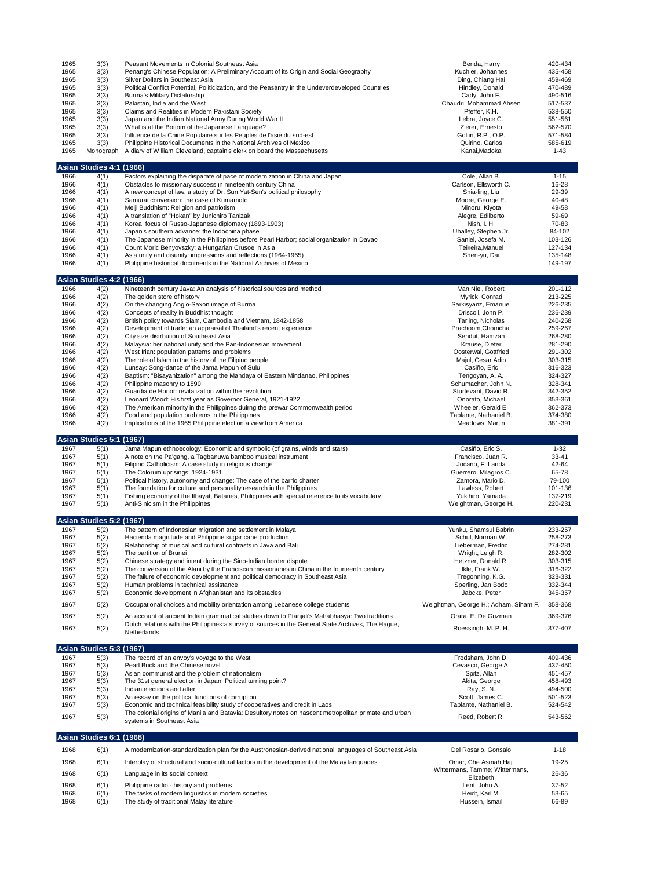| 1965<br>1965<br>1965<br>1965<br>1965<br>1965<br>1965<br>1965<br>1965<br>1965<br>1965<br>1965<br>1966 | 3(3)<br>3(3)<br>3(3)<br>3(3)<br>3(3)<br>3(3)<br>3(3)<br>3(3)<br>3(3)<br>3(3)<br>3(3)<br>Monograph<br>Asian Studies 4:1 (1966)<br>4(1) | Peasant Movements in Colonial Southeast Asia<br>Penang's Chinese Population: A Preliminary Account of its Origin and Social Geography<br>Silver Dollars in Southeast Asia<br>Political Conflict Potential, Politicization, and the Peasantry in the Undeverdeveloped Countries<br>Burma's Military Dictatorship<br>Pakistan, India and the West<br>Claims and Realities in Modern Pakistani Society<br>Japan and the Indian National Army During World War II<br>What is at the Bottom of the Japanese Language?<br>Influence de la Chine Populaire sur les Peuples de l'asie du sud-est<br>Philippine Historical Documents in the National Archives of Mexico<br>A diary of William Cleveland, captain's clerk on board the Massachusetts<br>Factors explaining the disparate of pace of modernization in China and Japan | Benda, Harry<br>Kuchler, Johannes<br>Ding, Chiang Hai<br>Hindley, Donald<br>Cady, John F.<br>Chaudri, Mohammad Ahsen<br>Pfeffer, K.H.<br>Lebra, Joyce C.<br>Zierer, Ernesto<br>Golfin, R.P., O.P.<br>Quirino, Carlos<br>Kanai, Madoka<br>Cole, Allan B. | 420-434<br>435-458<br>459-469<br>470-489<br>490-516<br>517-537<br>538-550<br>551-561<br>562-570<br>571-584<br>585-619<br>$1 - 43$<br>$1 - 15$ |
|------------------------------------------------------------------------------------------------------|---------------------------------------------------------------------------------------------------------------------------------------|----------------------------------------------------------------------------------------------------------------------------------------------------------------------------------------------------------------------------------------------------------------------------------------------------------------------------------------------------------------------------------------------------------------------------------------------------------------------------------------------------------------------------------------------------------------------------------------------------------------------------------------------------------------------------------------------------------------------------------------------------------------------------------------------------------------------------|---------------------------------------------------------------------------------------------------------------------------------------------------------------------------------------------------------------------------------------------------------|-----------------------------------------------------------------------------------------------------------------------------------------------|
| 1966<br>1966                                                                                         | 4(1)<br>4(1)                                                                                                                          | Obstacles to missionary success in nineteenth century China<br>A new concept of law, a study of Dr. Sun Yat-Sen's political philosophy                                                                                                                                                                                                                                                                                                                                                                                                                                                                                                                                                                                                                                                                                     | Carlson, Ellsworth C.<br>Shia-ling, Liu                                                                                                                                                                                                                 | 16-28<br>29-39                                                                                                                                |
| 1966                                                                                                 | 4(1)                                                                                                                                  | Samurai conversion: the case of Kumamoto                                                                                                                                                                                                                                                                                                                                                                                                                                                                                                                                                                                                                                                                                                                                                                                   | Moore, George E.                                                                                                                                                                                                                                        | 40-48                                                                                                                                         |
| 1966<br>1966                                                                                         | 4(1)<br>4(1)                                                                                                                          | Meiji Buddhism: Religion and patriotism<br>A translation of "Hokan" by Junichiro Tanizaki                                                                                                                                                                                                                                                                                                                                                                                                                                                                                                                                                                                                                                                                                                                                  | Minoru, Kiyota<br>Alegre, Edilberto                                                                                                                                                                                                                     | 49-58<br>59-69                                                                                                                                |
| 1966                                                                                                 | 4(1)                                                                                                                                  | Korea, focus of Russo-Japanese diplomacy (1893-1903)                                                                                                                                                                                                                                                                                                                                                                                                                                                                                                                                                                                                                                                                                                                                                                       | Nish, I. H.                                                                                                                                                                                                                                             | 70-83                                                                                                                                         |
| 1966<br>1966                                                                                         | 4(1)<br>4(1)                                                                                                                          | Japan's southern advance: the Indochina phase<br>The Japanese minority in the Philippines before Pearl Harbor; social organization in Davao                                                                                                                                                                                                                                                                                                                                                                                                                                                                                                                                                                                                                                                                                | Uhalley, Stephen Jr.<br>Saniel, Josefa M.                                                                                                                                                                                                               | 84-102<br>103-126                                                                                                                             |
| 1966                                                                                                 | 4(1)                                                                                                                                  | Count Moric Benyovszky: a Hungarian Crusoe in Asia                                                                                                                                                                                                                                                                                                                                                                                                                                                                                                                                                                                                                                                                                                                                                                         | Teixeira, Manuel                                                                                                                                                                                                                                        | 127-134                                                                                                                                       |
| 1966<br>1966                                                                                         | 4(1)<br>4(1)                                                                                                                          | Asia unity and disunity: impressions and reflections (1964-1965)<br>Philippine historical documents in the National Archives of Mexico                                                                                                                                                                                                                                                                                                                                                                                                                                                                                                                                                                                                                                                                                     | Shen-yu, Dai                                                                                                                                                                                                                                            | 135-148<br>149-197                                                                                                                            |
|                                                                                                      |                                                                                                                                       |                                                                                                                                                                                                                                                                                                                                                                                                                                                                                                                                                                                                                                                                                                                                                                                                                            |                                                                                                                                                                                                                                                         |                                                                                                                                               |
|                                                                                                      | Asian Studies 4:2 (1966)                                                                                                              |                                                                                                                                                                                                                                                                                                                                                                                                                                                                                                                                                                                                                                                                                                                                                                                                                            |                                                                                                                                                                                                                                                         |                                                                                                                                               |
| 1966<br>1966                                                                                         | 4(2)<br>4(2)                                                                                                                          | Nineteenth century Java: An analysis of historical sources and method<br>The golden store of history                                                                                                                                                                                                                                                                                                                                                                                                                                                                                                                                                                                                                                                                                                                       | Van Niel, Robert<br>Myrick, Conrad                                                                                                                                                                                                                      | 201-112<br>213-225                                                                                                                            |
| 1966                                                                                                 | 4(2)                                                                                                                                  | On the changing Anglo-Saxon image of Burma                                                                                                                                                                                                                                                                                                                                                                                                                                                                                                                                                                                                                                                                                                                                                                                 | Sarkisyanz, Emanuel                                                                                                                                                                                                                                     | 226-235                                                                                                                                       |
| 1966<br>1966                                                                                         | 4(2)<br>4(2)                                                                                                                          | Concepts of reality in Buddhist thought<br>British policy towards Siam, Cambodia and Vietnam, 1842-1858                                                                                                                                                                                                                                                                                                                                                                                                                                                                                                                                                                                                                                                                                                                    | Driscoll, John P.<br>Tarling, Nicholas                                                                                                                                                                                                                  | 236-239<br>240-258                                                                                                                            |
| 1966                                                                                                 | 4(2)                                                                                                                                  | Development of trade: an appraisal of Thailand's recent experience                                                                                                                                                                                                                                                                                                                                                                                                                                                                                                                                                                                                                                                                                                                                                         | Prachoom, Chomchai                                                                                                                                                                                                                                      | 259-267                                                                                                                                       |
| 1966<br>1966                                                                                         | 4(2)<br>4(2)                                                                                                                          | City size distrbution of Southeast Asia<br>Malaysia: her national unity and the Pan-Indonesian movement                                                                                                                                                                                                                                                                                                                                                                                                                                                                                                                                                                                                                                                                                                                    | Sendut, Hamzah<br>Krause, Dieter                                                                                                                                                                                                                        | 268-280<br>281-290                                                                                                                            |
| 1966                                                                                                 | 4(2)                                                                                                                                  | West Irian: population patterns and problems                                                                                                                                                                                                                                                                                                                                                                                                                                                                                                                                                                                                                                                                                                                                                                               | Oosterwal, Gottfried                                                                                                                                                                                                                                    | 291-302                                                                                                                                       |
| 1966                                                                                                 | 4(2)                                                                                                                                  | The role of Islam in the history of the Filipino people                                                                                                                                                                                                                                                                                                                                                                                                                                                                                                                                                                                                                                                                                                                                                                    | Majul, Cesar Adib                                                                                                                                                                                                                                       | 303-315                                                                                                                                       |
| 1966<br>1966                                                                                         | 4(2)<br>4(2)                                                                                                                          | Lunsay: Song-dance of the Jama Mapun of Sulu<br>Baptism: "Bisayanization" among the Mandaya of Eastern Mindanao, Philippines                                                                                                                                                                                                                                                                                                                                                                                                                                                                                                                                                                                                                                                                                               | Casiño, Eric<br>Tengoyan, A. A.                                                                                                                                                                                                                         | 316-323<br>324-327                                                                                                                            |
| 1966                                                                                                 | 4(2)                                                                                                                                  | Philippine masonry to 1890                                                                                                                                                                                                                                                                                                                                                                                                                                                                                                                                                                                                                                                                                                                                                                                                 | Schumacher, John N.                                                                                                                                                                                                                                     | 328-341                                                                                                                                       |
| 1966<br>1966                                                                                         | 4(2)<br>4(2)                                                                                                                          | Guardia de Honor: revitalization within the revolution<br>Leonard Wood: His first year as Governor General, 1921-1922                                                                                                                                                                                                                                                                                                                                                                                                                                                                                                                                                                                                                                                                                                      | Sturtevant, David R.<br>Onorato, Michael                                                                                                                                                                                                                | 342-352<br>353-361                                                                                                                            |
| 1966                                                                                                 | 4(2)                                                                                                                                  | The American minority in the Philippines duirng the prewar Commonwealth period                                                                                                                                                                                                                                                                                                                                                                                                                                                                                                                                                                                                                                                                                                                                             | Wheeler, Gerald E.                                                                                                                                                                                                                                      | 362-373                                                                                                                                       |
| 1966<br>1966                                                                                         | 4(2)<br>4(2)                                                                                                                          | Food and population problems in the Philippines<br>Implications of the 1965 Philippine election a view from America                                                                                                                                                                                                                                                                                                                                                                                                                                                                                                                                                                                                                                                                                                        | Tablante, Nathaniel B.<br>Meadows, Martin                                                                                                                                                                                                               | 374-380<br>381-391                                                                                                                            |
|                                                                                                      |                                                                                                                                       |                                                                                                                                                                                                                                                                                                                                                                                                                                                                                                                                                                                                                                                                                                                                                                                                                            |                                                                                                                                                                                                                                                         |                                                                                                                                               |
|                                                                                                      |                                                                                                                                       |                                                                                                                                                                                                                                                                                                                                                                                                                                                                                                                                                                                                                                                                                                                                                                                                                            |                                                                                                                                                                                                                                                         |                                                                                                                                               |
|                                                                                                      | Asian Studies 5:1 (1967)                                                                                                              |                                                                                                                                                                                                                                                                                                                                                                                                                                                                                                                                                                                                                                                                                                                                                                                                                            |                                                                                                                                                                                                                                                         |                                                                                                                                               |
| 1967<br>1967                                                                                         | 5(1)<br>5(1)                                                                                                                          | Jama Mapun ethnoecology: Economic and symbolic (of grains, winds and stars)<br>A note on the Pa'gang, a Tagbanuwa bamboo musical instrument                                                                                                                                                                                                                                                                                                                                                                                                                                                                                                                                                                                                                                                                                | Casiño, Eric S.<br>Francisco, Juan R.                                                                                                                                                                                                                   | $1 - 32$<br>33-41                                                                                                                             |
| 1967                                                                                                 | 5(1)                                                                                                                                  | Filipino Catholicism: A case study in religious change                                                                                                                                                                                                                                                                                                                                                                                                                                                                                                                                                                                                                                                                                                                                                                     | Jocano, F. Landa                                                                                                                                                                                                                                        | 42-64                                                                                                                                         |
| 1967                                                                                                 | 5(1)                                                                                                                                  | The Colorum uprisings: 1924-1931                                                                                                                                                                                                                                                                                                                                                                                                                                                                                                                                                                                                                                                                                                                                                                                           | Guerrero, Milagros C.                                                                                                                                                                                                                                   | 65-78                                                                                                                                         |
| 1967<br>1967                                                                                         | 5(1)<br>5(1)                                                                                                                          | Political history, autonomy and change: The case of the barrio charter<br>The foundation for culture and personality research in the Philippines                                                                                                                                                                                                                                                                                                                                                                                                                                                                                                                                                                                                                                                                           | Zamora, Mario D.<br>Lawless, Robert                                                                                                                                                                                                                     | 79-100<br>101-136                                                                                                                             |
| 1967                                                                                                 | 5(1)                                                                                                                                  | Fishing economy of the Itbayat, Batanes, Philippines with special reference to its vocabulary                                                                                                                                                                                                                                                                                                                                                                                                                                                                                                                                                                                                                                                                                                                              | Yukihiro, Yamada                                                                                                                                                                                                                                        | 137-219                                                                                                                                       |
| 1967                                                                                                 | 5(1)                                                                                                                                  | Anti-Sinicism in the Philippines                                                                                                                                                                                                                                                                                                                                                                                                                                                                                                                                                                                                                                                                                                                                                                                           | Weightman, George H.                                                                                                                                                                                                                                    | 220-231                                                                                                                                       |
|                                                                                                      | Asian Studies 5:2 (1967)                                                                                                              |                                                                                                                                                                                                                                                                                                                                                                                                                                                                                                                                                                                                                                                                                                                                                                                                                            |                                                                                                                                                                                                                                                         |                                                                                                                                               |
| 1967<br>1967                                                                                         | 5(2)<br>5(2)                                                                                                                          | The pattern of Indonesian migration and settlement in Malaya<br>Hacienda magnitude and Philippine sugar cane production                                                                                                                                                                                                                                                                                                                                                                                                                                                                                                                                                                                                                                                                                                    | Yunku, Shamsul Babrin<br>Schul, Norman W.                                                                                                                                                                                                               | 233-257<br>258-273                                                                                                                            |
| 1967                                                                                                 | 5(2)                                                                                                                                  | Relationship of musical and cultural contrasts in Java and Bali                                                                                                                                                                                                                                                                                                                                                                                                                                                                                                                                                                                                                                                                                                                                                            | Lieberman, Fredric                                                                                                                                                                                                                                      | 274-281                                                                                                                                       |
| 1967<br>1967                                                                                         | 5(2)                                                                                                                                  | The partition of Brunei                                                                                                                                                                                                                                                                                                                                                                                                                                                                                                                                                                                                                                                                                                                                                                                                    | Wright, Leigh R.<br>Hetzner, Donald R.                                                                                                                                                                                                                  | 282-302<br>303-315                                                                                                                            |
| 1967                                                                                                 | 5(2)<br>5(2)                                                                                                                          | Chinese strategy and intent during the Sino-Indian border dispute<br>The conversion of the Alani by the Franciscan missionaries in China in the fourteenth century                                                                                                                                                                                                                                                                                                                                                                                                                                                                                                                                                                                                                                                         | Ikle, Frank W.                                                                                                                                                                                                                                          | 316-322                                                                                                                                       |
| 1967                                                                                                 | 5(2)                                                                                                                                  | The failure of economic development and political democracy in Southeast Asia<br>Human problems in technical assistance                                                                                                                                                                                                                                                                                                                                                                                                                                                                                                                                                                                                                                                                                                    | Tregonning, K.G.                                                                                                                                                                                                                                        | 323-331                                                                                                                                       |
| 1967<br>1967                                                                                         | 5(2)<br>5(2)                                                                                                                          | Economic development in Afghanistan and its obstacles                                                                                                                                                                                                                                                                                                                                                                                                                                                                                                                                                                                                                                                                                                                                                                      | Sperling, Jan Bodo<br>Jabcke, Peter                                                                                                                                                                                                                     | 332-344<br>345-357                                                                                                                            |
| 1967                                                                                                 | 5(2)                                                                                                                                  | Occupational choices and mobility orientation among Lebanese college students                                                                                                                                                                                                                                                                                                                                                                                                                                                                                                                                                                                                                                                                                                                                              | Weightman, George H.; Adham, Siham F.                                                                                                                                                                                                                   | 358-368                                                                                                                                       |
| 1967                                                                                                 | 5(2)                                                                                                                                  | An account of ancient Indian grammatical studies down to Ptanjali's Mahabhasya: Two traditions                                                                                                                                                                                                                                                                                                                                                                                                                                                                                                                                                                                                                                                                                                                             | Orara, E. De Guzman                                                                                                                                                                                                                                     | 369-376                                                                                                                                       |
| 1967                                                                                                 | 5(2)                                                                                                                                  | Dutch relations with the Philippines: a survey of sources in the General State Archives, The Haque,<br>Netherlands                                                                                                                                                                                                                                                                                                                                                                                                                                                                                                                                                                                                                                                                                                         | Roessingh, M. P. H.                                                                                                                                                                                                                                     | 377-407                                                                                                                                       |
|                                                                                                      |                                                                                                                                       |                                                                                                                                                                                                                                                                                                                                                                                                                                                                                                                                                                                                                                                                                                                                                                                                                            |                                                                                                                                                                                                                                                         |                                                                                                                                               |
|                                                                                                      | Asian Studies 5:3 (1967)                                                                                                              |                                                                                                                                                                                                                                                                                                                                                                                                                                                                                                                                                                                                                                                                                                                                                                                                                            |                                                                                                                                                                                                                                                         |                                                                                                                                               |
| 1967<br>1967                                                                                         | 5(3)<br>5(3)                                                                                                                          | The record of an envoy's voyage to the West<br>Pearl Buck and the Chinese novel                                                                                                                                                                                                                                                                                                                                                                                                                                                                                                                                                                                                                                                                                                                                            | Frodsham, John D.<br>Cevasco, George A.                                                                                                                                                                                                                 | 409-436<br>437-450                                                                                                                            |
| 1967                                                                                                 | 5(3)                                                                                                                                  | Asian communist and the problem of nationalism                                                                                                                                                                                                                                                                                                                                                                                                                                                                                                                                                                                                                                                                                                                                                                             | Spitz, Allan                                                                                                                                                                                                                                            | 451-457                                                                                                                                       |
| 1967<br>1967                                                                                         | 5(3)<br>5(3)                                                                                                                          | The 31st general election in Japan: Political turning point?<br>Indian elections and after                                                                                                                                                                                                                                                                                                                                                                                                                                                                                                                                                                                                                                                                                                                                 | Akita, George<br>Ray, S. N.                                                                                                                                                                                                                             | 458-493<br>494-500                                                                                                                            |
| 1967                                                                                                 | 5(3)                                                                                                                                  | An essay on the political functions of corruption                                                                                                                                                                                                                                                                                                                                                                                                                                                                                                                                                                                                                                                                                                                                                                          | Scott, James C.                                                                                                                                                                                                                                         | 501-523                                                                                                                                       |
| 1967                                                                                                 | 5(3)                                                                                                                                  | Economic and technical feasibility study of cooperatives and credit in Laos<br>The colonial origins of Manila and Batavia: Desultory notes on nascent metropolitan primate and urban                                                                                                                                                                                                                                                                                                                                                                                                                                                                                                                                                                                                                                       | Tablante, Nathaniel B.                                                                                                                                                                                                                                  | 524-542                                                                                                                                       |
| 1967                                                                                                 | 5(3)                                                                                                                                  | systems in Southeast Asia                                                                                                                                                                                                                                                                                                                                                                                                                                                                                                                                                                                                                                                                                                                                                                                                  | Reed, Robert R.                                                                                                                                                                                                                                         | 543-562                                                                                                                                       |
|                                                                                                      | Asian Studies 6:1                                                                                                                     | (1968)                                                                                                                                                                                                                                                                                                                                                                                                                                                                                                                                                                                                                                                                                                                                                                                                                     |                                                                                                                                                                                                                                                         |                                                                                                                                               |
| 1968                                                                                                 |                                                                                                                                       | A modernization-standardization plan for the Austronesian-derived national languages of Southeast Asia                                                                                                                                                                                                                                                                                                                                                                                                                                                                                                                                                                                                                                                                                                                     | Del Rosario, Gonsalo                                                                                                                                                                                                                                    | $1 - 18$                                                                                                                                      |
|                                                                                                      | 6(1)                                                                                                                                  |                                                                                                                                                                                                                                                                                                                                                                                                                                                                                                                                                                                                                                                                                                                                                                                                                            |                                                                                                                                                                                                                                                         |                                                                                                                                               |
| 1968                                                                                                 | 6(1)                                                                                                                                  | Interplay of structural and socio-cultural factors in the development of the Malay languages                                                                                                                                                                                                                                                                                                                                                                                                                                                                                                                                                                                                                                                                                                                               | Omar, Che Asmah Haji<br>Wittermans, Tamme; Wittermans,                                                                                                                                                                                                  | 19-25                                                                                                                                         |
| 1968                                                                                                 | 6(1)                                                                                                                                  | Language in its social context                                                                                                                                                                                                                                                                                                                                                                                                                                                                                                                                                                                                                                                                                                                                                                                             | Elizabeth                                                                                                                                                                                                                                               | 26-36                                                                                                                                         |
| 1968<br>1968<br>1968                                                                                 | 6(1)<br>6(1)<br>6(1)                                                                                                                  | Philippine radio - history and problems<br>The tasks of modern linguistics in modern societies<br>The study of traditional Malay literature                                                                                                                                                                                                                                                                                                                                                                                                                                                                                                                                                                                                                                                                                | Lent, John A.<br>Heidt, Karl M.<br>Hussein, Ismail                                                                                                                                                                                                      | 37-52<br>53-65<br>66-89                                                                                                                       |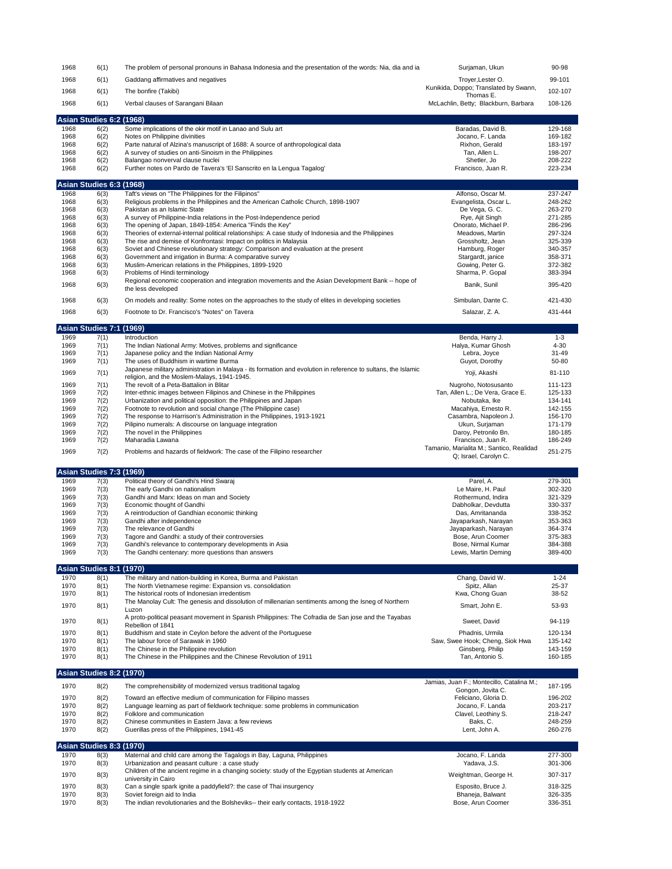| 1968         | 6(1)                                    | The problem of personal pronouns in Bahasa Indonesia and the presentation of the words: Nia, dia and ia                                             | Surjaman, Ukun                                                    | 90-98               |
|--------------|-----------------------------------------|-----------------------------------------------------------------------------------------------------------------------------------------------------|-------------------------------------------------------------------|---------------------|
| 1968         | 6(1)                                    | Gaddang affirmatives and negatives                                                                                                                  | Troyer, Lester O.                                                 | 99-101              |
| 1968         | 6(1)                                    | The bonfire (Takibi)                                                                                                                                | Kunikida, Doppo; Translated by Swann,<br>Thomas E.                | 102-107             |
| 1968         | 6(1)                                    | Verbal clauses of Sarangani Bilaan                                                                                                                  | McLachlin, Betty; Blackburn, Barbara                              | 108-126             |
|              | Asian Studies 6:2 (1968)                |                                                                                                                                                     |                                                                   |                     |
| 1968         | 6(2)                                    | Some implications of the okir motif in Lanao and Sulu art                                                                                           | Baradas, David B.                                                 | 129-168             |
| 1968         | 6(2)                                    | Notes on Philippine divinities                                                                                                                      | Jocano, F. Landa                                                  | 169-182             |
| 1968<br>1968 | 6(2)<br>6(2)                            | Parte natural of Alzina's manuscript of 1688: A source of anthropological data<br>A survey of studies on anti-Sinoism in the Philippines            | Rixhon, Gerald<br>Tan, Allen L.                                   | 183-197<br>198-207  |
| 1968         | 6(2)                                    | Balangao nonverval clause nuclei                                                                                                                    | Shetler, Jo                                                       | 208-222             |
| 1968         | 6(2)                                    | Further notes on Pardo de Tavera's 'El Sanscrito en la Lengua Tagalog'                                                                              | Francisco, Juan R.                                                | 223-234             |
|              | Asian Studies 6:3 (1968)                |                                                                                                                                                     |                                                                   |                     |
| 1968         | 6(3)                                    | Taft's views on "The Philippines for the Filipinos"                                                                                                 | Alfonso, Oscar M.                                                 | 237-247             |
| 1968<br>1968 | 6(3)<br>6(3)                            | Religious problems in the Philippines and the American Catholic Church, 1898-1907<br>Pakistan as an Islamic State                                   | Evangelista, Oscar L.<br>De Vega, G. C.                           | 248-262<br>263-270  |
| 1968         | 6(3)                                    | A survey of Philippine-India relations in the Post-Independence period                                                                              | Rye, Ajit Singh                                                   | 271-285             |
| 1968         | 6(3)                                    | The opening of Japan, 1849-1854: America "Finds the Key"                                                                                            | Onorato, Michael P.                                               | 286-296             |
| 1968         | 6(3)                                    | Theories of external-internal political relationships: A case study of Indonesia and the Philippines                                                | Meadows, Martin                                                   | 297-324             |
| 1968         | 6(3)                                    | The rise and demise of Konfrontasi: Impact on politics in Malaysia                                                                                  | Grossholtz, Jean                                                  | 325-339             |
| 1968<br>1968 | 6(3)<br>6(3)                            | Soviet and Chinese revolutionary strategy: Comparison and evaluation at the present<br>Government and irrigation in Burma: A comparative survey     | Hamburg, Roger<br>Stargardt, janice                               | 340-357<br>358-371  |
| 1968         | 6(3)                                    | Muslim-American relations in the Philippines, 1899-1920                                                                                             | Gowing, Peter G.                                                  | 372-382             |
| 1968         | 6(3)                                    | Problems of Hindi terminology                                                                                                                       | Sharma, P. Gopal                                                  | 383-394             |
| 1968         | 6(3)                                    | Regional economic cooperation and integration movements and the Asian Development Bank -- hope of<br>the less developed                             | Banik, Sunil                                                      | 395-420             |
| 1968         | 6(3)                                    | On models and reality: Some notes on the approaches to the study of elites in developing societies                                                  | Simbulan, Dante C.                                                | 421-430             |
| 1968         | 6(3)                                    | Footnote to Dr. Francisco's "Notes" on Tavera                                                                                                       | Salazar, Z. A.                                                    | 431-444             |
|              | Asian Studies 7:1 (1969)                |                                                                                                                                                     |                                                                   |                     |
| 1969<br>1969 | 7(1)<br>7(1)                            | Introduction<br>The Indian National Army: Motives, problems and significance                                                                        | Benda, Harry J.<br>Halya, Kumar Ghosh                             | $1 - 3$<br>$4 - 30$ |
| 1969         | 7(1)                                    | Japanese policy and the Indian National Army                                                                                                        | Lebra, Joyce                                                      | $31 - 49$           |
| 1969         | 7(1)                                    | The uses of Buddhism in wartime Burma                                                                                                               | Guyot, Dorothy                                                    | 50-80               |
| 1969         | 7(1)                                    | Japanese military administration in Malaya - its formation and evolution in reference to sultans, the Islamic                                       | Yoji, Akashi                                                      | 81-110              |
| 1969         |                                         | religion, and the Moslem-Malays, 1941-1945.                                                                                                         |                                                                   | 111-123             |
| 1969         | 7(1)<br>7(2)                            | The revolt of a Peta-Battalion in Blitar<br>Inter-ethnic images between Filipinos and Chinese in the Philippines                                    | Nugroho, Notosusanto<br>Tan, Allen L.; De Vera, Grace E.          | 125-133             |
| 1969         | 7(2)                                    | Urbanization and political opposition: the Philippines and Japan                                                                                    | Nobutaka, Ike                                                     | 134-141             |
| 1969         | 7(2)                                    | Footnote to revolution and social change (The Philippine case)                                                                                      | Macahiya, Ernesto R.                                              | 142-155             |
| 1969<br>1969 | 7(2)                                    | The response to Harrison's Administration in the Philippines, 1913-1921                                                                             | Casambra, Napoleon J.                                             | 156-170<br>171-179  |
| 1969         | 7(2)<br>7(2)                            | Pilipino numerals: A discourse on language integration<br>The novel in the Philippines                                                              | Ukun, Surjaman<br>Daroy, Petronilo Bn.                            | 180-185             |
|              |                                         |                                                                                                                                                     |                                                                   |                     |
| 1969         | 7(2)                                    | Maharadia Lawana                                                                                                                                    | Francisco, Juan R.                                                | 186-249             |
| 1969         | 7(2)                                    | Problems and hazards of fieldwork: The case of the Filipino researcher                                                                              | Tamanio, Marialita M.; Santico, Realidad<br>Q; Israel, Carolyn C. | 251-275             |
|              |                                         |                                                                                                                                                     |                                                                   |                     |
| 1969         | <b>Asian Studies 7:3 (1969)</b><br>7(3) | Political theory of Gandhi's Hind Swaraj                                                                                                            | Parel, A.                                                         | 279-301             |
| 1969         | 7(3)                                    | The early Gandhi on nationalism                                                                                                                     | Le Maire, H. Paul                                                 | 302-320             |
| 1969         | 7(3)                                    | Gandhi and Marx: Ideas on man and Society                                                                                                           | Rothermund, Indira                                                | 321-329             |
| 1969         | 7(3)                                    | Economic thought of Gandhi                                                                                                                          | Dabholkar, Devdutta                                               | 330-337             |
| 1969<br>1969 | 7(3)<br>7(3)                            | A reintroduction of Gandhian economic thinking<br>Gandhi after independence                                                                         | Das, Amritananda<br>Jayaparkash, Narayan                          | 338-352<br>353-363  |
| 1969         | 7(3)                                    | The relevance of Gandhi                                                                                                                             | Jayaparkash, Narayan                                              | 364-374             |
| 1969         | 7(3)                                    | Tagore and Gandhi: a study of their controversies                                                                                                   | Bose, Arun Coomer                                                 | 375-383             |
| 1969<br>1969 | 7(3)<br>7(3)                            | Gandhi's relevance to contemporary developments in Asia<br>The Gandhi centenary: more questions than answers                                        | Bose, Nirmal Kumar<br>Lewis, Martin Deming                        | 384-388<br>389-400  |
|              |                                         |                                                                                                                                                     |                                                                   |                     |
| 1970         | Asian Studies 8:1 (1970)<br>8(1)        | The military and nation-building in Korea, Burma and Pakistan                                                                                       | Chang, David W.                                                   | $1 - 24$            |
| 1970         | 8(1)                                    | The North Vietnamese regime: Expansion vs. consolidation                                                                                            | Spitz, Allan                                                      | 25-37               |
| 1970         | 8(1)                                    | The historical roots of Indonesian irredentism                                                                                                      | Kwa, Chong Guan                                                   | 38-52               |
| 1970         | 8(1)                                    | The Manolay Cult: The genesis and dissolution of millenarian sentiments among the Isneg of Northern<br>Luzon                                        | Smart, John E.                                                    | 53-93               |
| 1970         | 8(1)                                    | A proto-political peasant movement in Spanish Philippines: The Cofradia de San jose and the Tayabas<br>Rebellion of 1841                            | Sweet, David                                                      | 94-119              |
| 1970         | 8(1)                                    | Buddhism and state in Ceylon before the advent of the Portuguese                                                                                    | Phadnis, Urmila                                                   | 120-134             |
| 1970         | 8(1)                                    | The labour force of Sarawak in 1960                                                                                                                 | Saw, Swee Hook; Cheng, Siok Hwa                                   | 135-142             |
| 1970<br>1970 | 8(1)<br>8(1)                            | The Chinese in the Philippine revolution<br>The Chinese in the Philippines and the Chinese Revolution of 1911                                       | Ginsberg, Philip<br>Tan, Antonio S.                               | 143-159<br>160-185  |
|              | <b>Asian Studies 8:2 (1970)</b>         |                                                                                                                                                     |                                                                   |                     |
| 1970         | 8(2)                                    | The comprehensibility of modernized versus traditional tagalog                                                                                      | Jamias, Juan F.; Montecillo, Catalina M.;                         | 187-195             |
|              |                                         |                                                                                                                                                     | Gongon, Jovita C.                                                 |                     |
| 1970<br>1970 | 8(2)<br>8(2)                            | Toward an effective medium of communication for Filipino masses<br>Language learning as part of fieldwork technique: some problems in communication | Feliciano, Gloria D.<br>Jocano, F. Landa                          | 196-202<br>203-217  |
| 1970         | 8(2)                                    | Folklore and communication                                                                                                                          | Clavel, Leothiny S.                                               | 218-247             |
| 1970         | 8(2)                                    | Chinese communities in Eastern Java: a few reviews                                                                                                  | Baks, C.                                                          | 248-259             |
| 1970         | 8(2)                                    | Guerillas press of the Philippines, 1941-45                                                                                                         | Lent, John A.                                                     | 260-276             |
|              | <b>Asian Studies 8:3 (1970)</b>         |                                                                                                                                                     |                                                                   |                     |
| 1970<br>1970 | 8(3)<br>8(3)                            | Maternal and child care among the Tagalogs in Bay, Laguna, Philippines<br>Urbanization and peasant culture : a case study                           | Jocano, F. Landa<br>Yadava, J.S.                                  | 277-300<br>301-306  |
|              |                                         | Children of the ancient regime in a changing society: study of the Egyptian students at American                                                    |                                                                   |                     |
| 1970         | 8(3)                                    | university in Cairo                                                                                                                                 | Weightman, George H.                                              | 307-317             |
| 1970<br>1970 | 8(3)<br>8(3)                            | Can a single spark ignite a paddyfield?: the case of Thai insurgency<br>Soviet foreign aid to India                                                 | Esposito, Bruce J.<br>Bhaneja, Balwant                            | 318-325<br>326-335  |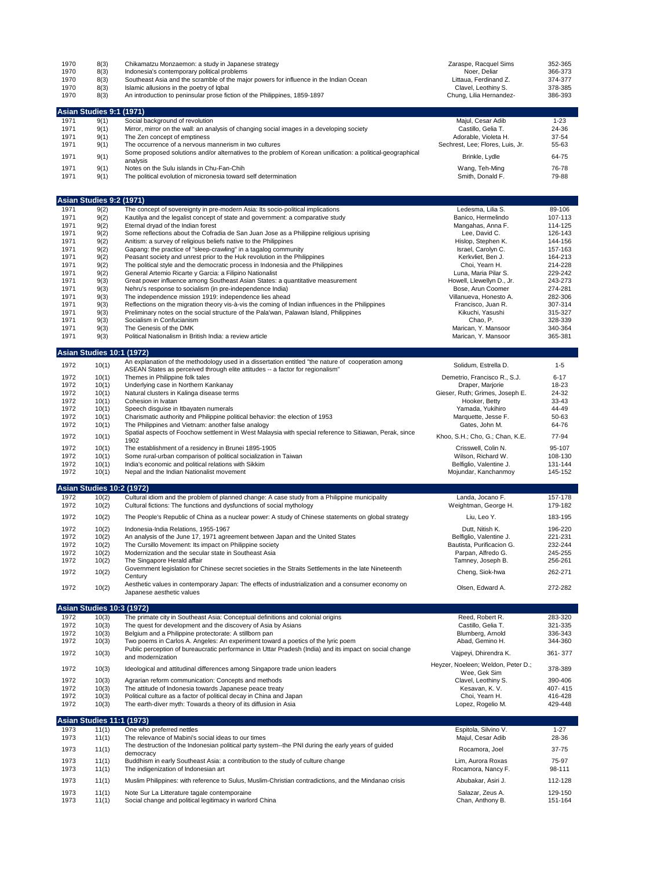| 1970<br>1970<br>1970<br>1970<br>1970 | 8(3)<br>8(3)<br>8(3)<br>8(3)<br>8(3) | Chikamatzu Monzaemon: a study in Japanese strategy<br>Indonesia's contemporary political problems<br>Southeast Asia and the scramble of the major powers for influence in the Indian Ocean<br>Islamic allusions in the poetry of Igbal<br>An introduction to peninsular prose fiction of the Philippines, 1859-1897 | Zaraspe, Racquel Sims<br>Noer, Deliar<br>Littaua, Ferdinand Z.<br>Clavel, Leothiny S.<br>Chung, Lilia Hernandez- | 352-365<br>366-373<br>374-377<br>378-385<br>386-393 |
|--------------------------------------|--------------------------------------|---------------------------------------------------------------------------------------------------------------------------------------------------------------------------------------------------------------------------------------------------------------------------------------------------------------------|------------------------------------------------------------------------------------------------------------------|-----------------------------------------------------|
|                                      | <b>Asian Studies 9:1 (1971)</b>      |                                                                                                                                                                                                                                                                                                                     |                                                                                                                  |                                                     |
| 1971                                 | 9(1)                                 | Social background of revolution                                                                                                                                                                                                                                                                                     | Majul, Cesar Adib                                                                                                | $1 - 23$                                            |
| 1971                                 | 9(1)                                 | Mirror, mirror on the wall: an analysis of changing social images in a developing society                                                                                                                                                                                                                           | Castillo, Gelia T.                                                                                               | 24-36                                               |
| 1971<br>1971                         | 9(1)<br>9(1)                         | The Zen concept of emptiness<br>The occurrence of a nervous mannerism in two cultures                                                                                                                                                                                                                               | Adorable, Violeta H.<br>Sechrest, Lee; Flores, Luis, Jr.                                                         | 37-54<br>55-63                                      |
|                                      |                                      | Some proposed solutions and/or alternatives to the problem of Korean unification: a political-geographical                                                                                                                                                                                                          |                                                                                                                  |                                                     |
| 1971                                 | 9(1)                                 | analysis                                                                                                                                                                                                                                                                                                            | Brinkle, Lydle                                                                                                   | 64-75                                               |
| 1971<br>1971                         | 9(1)<br>9(1)                         | Notes on the Sulu islands in Chu-Fan-Chih<br>The political evolution of micronesia toward self determination                                                                                                                                                                                                        | Wang, Teh-Ming<br>Smith, Donald F.                                                                               | 76-78<br>79-88                                      |
|                                      | <b>Asian Studies 9:2 (1971)</b>      |                                                                                                                                                                                                                                                                                                                     |                                                                                                                  |                                                     |
| 1971                                 | 9(2)                                 | The concept of sovereignty in pre-modern Asia: Its socio-political implications                                                                                                                                                                                                                                     | Ledesma, Lilia S.                                                                                                | 89-106                                              |
| 1971                                 | 9(2)                                 | Kautilya and the legalist concept of state and government: a comparative study                                                                                                                                                                                                                                      | Banico, Hermelindo                                                                                               | 107-113                                             |
| 1971<br>1971                         | 9(2)<br>9(2)                         | Eternal dryad of the Indian forest<br>Some reflections about the Cofradia de San Juan Jose as a Philippine religious uprising                                                                                                                                                                                       | Mangahas, Anna F.<br>Lee, David C.                                                                               | 114-125<br>126-143                                  |
| 1971                                 | 9(2)                                 | Anitism: a survey of religious beliefs native to the Philippines                                                                                                                                                                                                                                                    | Hislop, Stephen K.                                                                                               | 144-156                                             |
| 1971                                 | 9(2)                                 | Gapang: the practice of "sleep-crawling" in a tagalog community                                                                                                                                                                                                                                                     | Israel, Carolyn C.                                                                                               | 157-163                                             |
| 1971<br>1971                         | 9(2)<br>9(2)                         | Peasant society and unrest prior to the Huk revolution in the Philippines<br>The political style and the democratic process in Indonesia and the Philippines                                                                                                                                                        | Kerkvliet, Ben J.<br>Choi, Yearn H.                                                                              | 164-213<br>214-228                                  |
| 1971                                 | 9(2)                                 | General Artemio Ricarte y Garcia: a Filipino Nationalist                                                                                                                                                                                                                                                            | Luna, Maria Pilar S.                                                                                             | 229-242                                             |
| 1971                                 | 9(3)                                 | Great power influence among Southeast Asian States: a quantitative measurement                                                                                                                                                                                                                                      | Howell, Llewellyn D., Jr.                                                                                        | 243-273                                             |
| 1971<br>1971                         | 9(3)<br>9(3)                         | Nehru's response to socialism (in pre-independence India)<br>The independence mission 1919: independence lies ahead                                                                                                                                                                                                 | Bose, Arun Coomer<br>Villanueva, Honesto A.                                                                      | 274-281<br>282-306                                  |
| 1971                                 | 9(3)                                 | Reflections on the migration theory vis-à-vis the coming of Indian influences in the Philippines                                                                                                                                                                                                                    | Francisco, Juan R.                                                                                               | 307-314                                             |
| 1971                                 | 9(3)                                 | Preliminary notes on the social structure of the Pala'wan, Palawan Island, Philippines                                                                                                                                                                                                                              | Kikuchi, Yasushi                                                                                                 | 315-327                                             |
| 1971<br>1971                         | 9(3)<br>9(3)                         | Socialism in Confucianism<br>The Genesis of the DMK                                                                                                                                                                                                                                                                 | Chao, P.<br>Marican, Y. Mansoor                                                                                  | 328-339<br>340-364                                  |
| 1971                                 | 9(3)                                 | Political Nationalism in British India: a review article                                                                                                                                                                                                                                                            | Marican, Y. Mansoor                                                                                              | 365-381                                             |
|                                      | <b>Asian Studies 10:1 (1972)</b>     |                                                                                                                                                                                                                                                                                                                     |                                                                                                                  |                                                     |
| 1972                                 | 10(1)                                | An explanation of the methodology used in a dissertation entitled "the nature of cooperation among                                                                                                                                                                                                                  | Solidum, Estrella D.                                                                                             | $1 - 5$                                             |
| 1972                                 | 10(1)                                | ASEAN States as perceived through elite attitudes -- a factor for regionalism"<br>Themes in Philippine folk tales                                                                                                                                                                                                   | Demetrio, Francisco R., S.J.                                                                                     | $6 - 17$                                            |
| 1972                                 | 10(1)                                | Underlying case in Northern Kankanay                                                                                                                                                                                                                                                                                | Draper, Marjorie                                                                                                 | 18-23                                               |
| 1972                                 | 10(1)                                | Natural clusters in Kalinga disease terms                                                                                                                                                                                                                                                                           | Gieser, Ruth; Grimes, Joseph E.                                                                                  | 24-32                                               |
| 1972                                 | 10(1)                                | Cohesion in Ivatan                                                                                                                                                                                                                                                                                                  | Hooker, Betty                                                                                                    | 33-43                                               |
| 1972<br>1972                         | 10(1)<br>10(1)                       | Speech disguise in Itbayaten numerals<br>Charismatic authority and Philippine political behavior: the election of 1953                                                                                                                                                                                              | Yamada, Yukihiro<br>Marquette, Jesse F.                                                                          | 44-49<br>50-63                                      |
| 1972                                 | 10(1)                                | The Philippines and Vietnam: another false analogy                                                                                                                                                                                                                                                                  | Gates, John M.                                                                                                   | 64-76                                               |
| 1972                                 | 10(1)                                | Spatial aspects of Foochow settlement in West Malaysia with special reference to Sitiawan, Perak, since                                                                                                                                                                                                             | Khoo, S.H.; Cho, G.; Chan, K.E.                                                                                  | 77-94                                               |
| 1972                                 | 10(1)                                | 1902<br>The establishment of a residency in Brunei 1895-1905                                                                                                                                                                                                                                                        | Crisswell, Colin N.                                                                                              | 95-107                                              |
| 1972                                 | 10(1)                                | Some rural-urban comparison of political socialization in Taiwan                                                                                                                                                                                                                                                    | Wilson, Richard W.                                                                                               | 108-130                                             |
| 1972                                 | 10(1)                                | India's economic and political relations with Sikkim                                                                                                                                                                                                                                                                | Belfiglio, Valentine J.                                                                                          | 131-144                                             |
| 1972                                 | 10(1)                                | Nepal and the Indian Nationalist movement                                                                                                                                                                                                                                                                           | Mojundar, Kanchanmoy                                                                                             | 145-152                                             |
| 1972                                 | <b>Asian Studies 10:2 (1972)</b>     |                                                                                                                                                                                                                                                                                                                     | Landa, Jocano F.                                                                                                 | 157-178                                             |
| 1972                                 | 10(2)<br>10(2)                       | Cultural idiom and the problem of planned change: A case study from a Philippine municipality<br>Cultural fictions: The functions and dysfunctions of social mythology                                                                                                                                              | Weightman, George H.                                                                                             | 179-182                                             |
| 1972                                 | 10(2)                                | The People's Republic of China as a nuclear power: A study of Chinese statements on global strategy                                                                                                                                                                                                                 | Liu, Leo Y.                                                                                                      | 183-195                                             |
| 1972                                 | 10(2)                                | Indonesia-India Relations, 1955-1967                                                                                                                                                                                                                                                                                | Dutt, Nitish K.                                                                                                  | 196-220                                             |
| 1972                                 | 10(2)                                | An analysis of the June 17, 1971 agreement between Japan and the United States                                                                                                                                                                                                                                      | Belfiglio, Valentine J.                                                                                          | 221-231                                             |
| 1972                                 | 10(2)                                | The Cursillo Movement: Its impact on Philippine society                                                                                                                                                                                                                                                             | Bautista, Purificacion G.                                                                                        | 232-244                                             |
| 1972                                 | 10(2)                                | Modernization and the secular state in Southeast Asia                                                                                                                                                                                                                                                               | Parpan, Alfredo G.                                                                                               | 245-255                                             |
| 1972                                 | 10(2)                                | The Singapore Herald affair<br>Government legislation for Chinese secret societies in the Straits Settlements in the late Nineteenth                                                                                                                                                                                | Tamney, Joseph B.                                                                                                | 256-261                                             |
| 1972                                 | 10(2)                                | Century                                                                                                                                                                                                                                                                                                             | Cheng, Siok-hwa                                                                                                  | 262-271                                             |
| 1972                                 | 10(2)                                | Aesthetic values in contemporary Japan: The effects of industrialization and a consumer economy on<br>Japanese aesthetic values                                                                                                                                                                                     | Olsen, Edward A.                                                                                                 | 272-282                                             |
|                                      | Asian Studies 10:3 (1972)            |                                                                                                                                                                                                                                                                                                                     |                                                                                                                  |                                                     |
| 1972                                 | 10(3)                                | The primate city in Southeast Asia: Conceptual definitions and colonial origins                                                                                                                                                                                                                                     | Reed, Robert R.                                                                                                  | 283-320                                             |
| 1972<br>1972                         | 10(3)<br>10(3)                       | The quest for development and the discovery of Asia by Asians<br>Belgium and a Philippine protectorate: A stillborn pan                                                                                                                                                                                             | Castillo, Gelia T.<br>Blumberg, Arnold                                                                           | 321-335<br>336-343                                  |
| 1972                                 | 10(3)                                | Two poems in Carlos A. Angeles: An experiment toward a poetics of the lyric poem                                                                                                                                                                                                                                    | Abad, Gemino H.                                                                                                  | 344-360                                             |
| 1972                                 | 10(3)                                | Public perception of bureaucratic performance in Uttar Pradesh (India) and its impact on social change                                                                                                                                                                                                              | Vajpeyi, Dhirendra K.                                                                                            | 361-377                                             |
|                                      |                                      | and modernization                                                                                                                                                                                                                                                                                                   | Heyzer, Noeleen; Weldon, Peter D.;                                                                               |                                                     |
| 1972                                 | 10(3)                                | Ideological and attitudinal differences among Singapore trade union leaders                                                                                                                                                                                                                                         | Wee, Gek Sim                                                                                                     | 378-389                                             |
| 1972<br>1972                         | 10(3)<br>10(3)                       | Agrarian reform communication: Concepts and methods<br>The attitude of Indonesia towards Japanese peace treaty                                                                                                                                                                                                      | Clavel, Leothiny S.<br>Kesavan, K. V.                                                                            | 390-406<br>407-415                                  |
| 1972                                 | 10(3)                                | Political culture as a factor of political decay in China and Japan                                                                                                                                                                                                                                                 | Choi, Yearn H.                                                                                                   | 416-428                                             |
| 1972                                 | 10(3)                                | The earth-diver myth: Towards a theory of its diffusion in Asia                                                                                                                                                                                                                                                     | Lopez, Rogelio M.                                                                                                | 429-448                                             |
|                                      | <b>Asian Studies 11:1 (1973)</b>     |                                                                                                                                                                                                                                                                                                                     |                                                                                                                  |                                                     |
| 1973                                 | 11(1)                                | One who preferred nettles                                                                                                                                                                                                                                                                                           | Espitola, Silvino V.                                                                                             | $1 - 27$                                            |
| 1973                                 | 11(1)                                | The relevance of Mabini's social ideas to our times<br>The destruction of the Indonesian political party system--the PNI during the early years of guided                                                                                                                                                           | Majul, Cesar Adib                                                                                                | 28-36                                               |
| 1973                                 | 11(1)                                | democracy                                                                                                                                                                                                                                                                                                           | Rocamora, Joel                                                                                                   | 37-75                                               |
| 1973                                 | 11(1)                                | Buddhism in early Southeast Asia: a contribution to the study of culture change                                                                                                                                                                                                                                     | Lim, Aurora Roxas                                                                                                | 75-97                                               |
| 1973                                 | 11(1)                                | The indigenization of Indonesian art                                                                                                                                                                                                                                                                                | Rocamora, Nancy F.                                                                                               | 98-111                                              |
| 1973                                 | 11(1)                                | Muslim Philippines: with reference to Sulus, Muslim-Christian contradictions, and the Mindanao crisis                                                                                                                                                                                                               | Abubakar, Asiri J.                                                                                               | 112-128                                             |
| 1973<br>1973                         | 11(1)                                | Note Sur La Litterature tagale contemporaine                                                                                                                                                                                                                                                                        | Salazar, Zeus A.                                                                                                 | 129-150<br>151-164                                  |
|                                      | 11(1)                                | Social change and political legitimacy in warlord China                                                                                                                                                                                                                                                             | Chan, Anthony B.                                                                                                 |                                                     |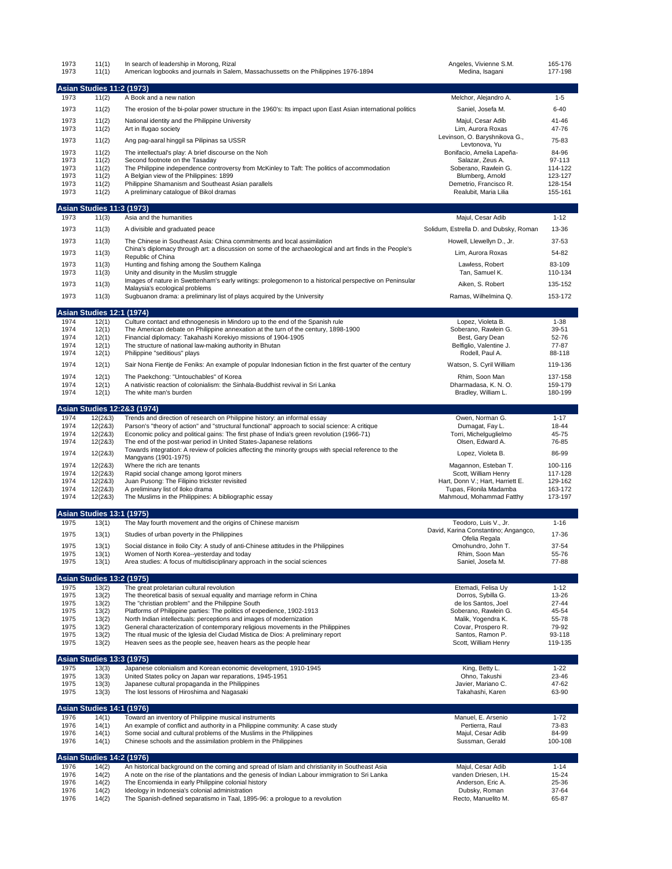| 1973<br>1973 | 11(1)<br>11(1)                            | In search of leadership in Morong, Rizal<br>American logbooks and journals in Salem, Massachussetts on the Philippines 1976-1894                                                             | Angeles, Vivienne S.M.<br>Medina, Isagani             | 165-176<br>177-198 |
|--------------|-------------------------------------------|----------------------------------------------------------------------------------------------------------------------------------------------------------------------------------------------|-------------------------------------------------------|--------------------|
|              | <b>Asian Studies 11:2 (1973)</b>          |                                                                                                                                                                                              |                                                       |                    |
| 1973         | 11(2)                                     | A Book and a new nation                                                                                                                                                                      | Melchor, Alejandro A.                                 | $1 - 5$            |
| 1973         | 11(2)                                     | The erosion of the bi-polar power structure in the 1960's: Its impact upon East Asian international politics                                                                                 | Saniel, Josefa M.                                     | $6 - 40$           |
| 1973         | 11(2)                                     | National identity and the Philippine University                                                                                                                                              | Majul, Cesar Adib                                     | 41-46              |
| 1973         | 11(2)                                     | Art in Ifugao society                                                                                                                                                                        | Lim. Aurora Roxas<br>Levinson, O. Baryshnikova G.,    | 47-76              |
| 1973         | 11(2)                                     | Ang pag-aaral hinggil sa Pilipinas sa USSR                                                                                                                                                   | Levtonova, Yu                                         | 75-83              |
| 1973         | 11(2)                                     | The intellectual's play: A brief discourse on the Noh                                                                                                                                        | Bonifacio, Amelia Lapeña-                             | 84-96              |
| 1973<br>1973 | 11(2)<br>11(2)                            | Second footnote on the Tasaday<br>The Philippine independence controversy from McKinley to Taft: The politics of accommodation                                                               | Salazar, Zeus A.<br>Soberano, Rawlein G.              | 97-113<br>114-122  |
| 1973         | 11(2)                                     | A Belgian view of the Philippines: 1899                                                                                                                                                      | Blumberg, Arnold                                      | 123-127            |
| 1973         | 11(2)                                     | Philippine Shamanism and Southeast Asian parallels                                                                                                                                           | Demetrio, Francisco R.                                | 128-154            |
| 1973         | 11(2)                                     | A preliminary catalogue of Bikol dramas                                                                                                                                                      | Realubit, Maria Lilia                                 | 155-161            |
| 1973         | <b>Asian Studies 11:3 (1973)</b><br>11(3) | Asia and the humanities                                                                                                                                                                      | Majul, Cesar Adib                                     | $1 - 12$           |
| 1973         | 11(3)                                     | A divisible and graduated peace                                                                                                                                                              | Solidum, Estrella D. and Dubsky, Roman                | 13-36              |
| 1973         | 11(3)                                     | The Chinese in Southeast Asia: China commitments and local assimilation                                                                                                                      | Howell, Llewellyn D., Jr.                             | 37-53              |
| 1973         | 11(3)                                     | China's diplomacy through art: a discussion on some of the archaeological and art finds in the People's                                                                                      | Lim, Aurora Roxas                                     | 54-82              |
|              |                                           | Republic of China                                                                                                                                                                            |                                                       |                    |
| 1973<br>1973 | 11(3)<br>11(3)                            | Hunting and fishing among the Southern Kalinga<br>Unity and disunity in the Muslim struggle                                                                                                  | Lawless, Robert<br>Tan, Samuel K.                     | 83-109<br>110-134  |
|              |                                           | Images of nature in Swettenham's early writings: prolegomenon to a historical perspective on Peninsular                                                                                      |                                                       |                    |
| 1973         | 11(3)                                     | Malaysia's ecological problems                                                                                                                                                               | Aiken, S. Robert                                      | 135-152            |
| 1973         | 11(3)                                     | Sugbuanon drama: a preliminary list of plays acquired by the University                                                                                                                      | Ramas, Wilhelmina Q.                                  | 153-172            |
| 1974         | <b>Asian Studies 12:1 (1974)</b><br>12(1) | Culture contact and ethnogenesis in Mindoro up to the end of the Spanish rule                                                                                                                | Lopez, Violeta B.                                     | $1 - 38$           |
| 1974         | 12(1)                                     | The American debate on Philippine annexation at the turn of the century, 1898-1900                                                                                                           | Soberano, Rawlein G.                                  | 39-51              |
| 1974         | 12(1)                                     | Financial diplomacy: Takahashi Korekiyo missions of 1904-1905                                                                                                                                | Best, Gary Dean                                       | 52-76              |
| 1974<br>1974 | 12(1)                                     | The structure of national law-making authority in Bhutan                                                                                                                                     | Belfiglio, Valentine J.                               | 77-87<br>88-118    |
|              | 12(1)                                     | Philippine "seditious" plays                                                                                                                                                                 | Rodell, Paul A.                                       |                    |
| 1974         | 12(1)                                     | Sair Nona Fientje de Feniks: An example of popular Indonesian fiction in the first quarter of the century                                                                                    | Watson, S. Cyril William                              | 119-136            |
| 1974<br>1974 | 12(1)<br>12(1)                            | The Paekchong: "Untouchables" of Korea<br>A nativistic reaction of colonialism: the Sinhala-Buddhist revival in Sri Lanka                                                                    | Rhim, Soon Man<br>Dharmadasa, K. N. O.                | 137-158<br>159-179 |
| 1974         | 12(1)                                     | The white man's burden                                                                                                                                                                       | Bradley, William L.                                   | 180-199            |
|              |                                           | Asian Studies 12:2&3 (1974)                                                                                                                                                                  |                                                       |                    |
| 1974         | 12(283)                                   | Trends and direction of research on Philippine history: an informal essay                                                                                                                    | Owen, Norman G.                                       | $1 - 17$           |
| 1974<br>1974 | 12(283)<br>12(283)                        | Parson's "theory of action" and "structural functional" approach to social science: A critique<br>Economic policy and political gains: The first phase of India's green revolution (1966-71) | Dumagat, Fay L.<br>Torri, Michelguglielmo             | 18-44<br>45-75     |
| 1974         | 12(2&3)                                   | The end of the post-war period in United States-Japanese relations                                                                                                                           | Olsen, Edward A.                                      | 76-85              |
| 1974         | 12(2&3)                                   | Towards integration: A review of policies affecting the minority groups with special reference to the                                                                                        | Lopez, Violeta B.                                     | 86-99              |
| 1974         | 12(283)                                   | Mangyans (1901-1975)<br>Where the rich are tenants                                                                                                                                           | Magannon, Esteban T.                                  | 100-116            |
| 1974         | 12(283)                                   | Rapid social change among Igorot miners                                                                                                                                                      | Scott, William Henry                                  | 117-128            |
| 1974         | 12(2&3)                                   | Juan Pusong: The Filipino trickster revisited                                                                                                                                                | Hart, Donn V.; Hart, Harriett E.                      | 129-162            |
| 1974<br>1974 | 12(283)<br>12(283)                        | A preliminary list of Iloko drama<br>The Muslims in the Philippines: A bibliographic essay                                                                                                   | Tupas, Filonila Madamba<br>Mahmoud, Mohammad Fatthy   | 163-172<br>173-197 |
|              | <b>Asian Studies 13:1 (1975)</b>          |                                                                                                                                                                                              |                                                       |                    |
| 1975         | 13(1)                                     | The May fourth movement and the origins of Chinese marxism                                                                                                                                   | Teodoro, Luis V., Jr.                                 | $1 - 16$           |
| 1975         | 13(1)                                     | Studies of urban poverty in the Philippines                                                                                                                                                  | David, Karina Constantino; Angangco,<br>Ofelia Regala | 17-36              |
| 1975         | 13(1)                                     | Social distance in Iloilo City: A study of anti-Chinese attitudes in the Philippines                                                                                                         | Omohundro, John T.                                    | 37-54              |
| 1975         | 13(1)                                     | Women of North Korea--yesterday and today                                                                                                                                                    | Rhim, Soon Man                                        | 55-76              |
| 1975         | 13(1)                                     | Area studies: A focus of multidisciplinary approach in the social sciences                                                                                                                   | Saniel, Josefa M.                                     | 77-88              |
| 1975         | <b>Asian Studies 13:2 (1975)</b><br>13(2) | The great proletarian cultural revolution                                                                                                                                                    | Etemadi, Felisa Uy                                    | $1 - 12$           |
| 1975         | 13(2)                                     | The theoretical basis of sexual equality and marriage reform in China                                                                                                                        | Dorros, Sybilla G.                                    | 13-26              |
| 1975         | 13(2)                                     | The "christian problem" and the Philippine South                                                                                                                                             | de los Santos, Joel                                   | 27-44              |
| 1975         | 13(2)                                     | Platforms of Philippine parties: The politics of expedience, 1902-1913                                                                                                                       | Soberano, Rawlein G.                                  | 45-54              |
| 1975<br>1975 | 13(2)<br>13(2)                            | North Indian intellectuals: perceptions and images of modernization<br>General characterization of contemporary religious movements in the Philippines                                       | Malik, Yogendra K.<br>Covar, Prospero R.              | 55-78<br>79-92     |
| 1975         | 13(2)                                     | The ritual music of the Iglesia del Ciudad Mistica de Dios: A preliminary report                                                                                                             | Santos, Ramon P.                                      | 93-118             |
| 1975         | 13(2)                                     | Heaven sees as the people see, heaven hears as the people hear                                                                                                                               | Scott, William Henry                                  | 119-135            |
|              | <b>Asian Studies 13:3 (1975)</b>          |                                                                                                                                                                                              |                                                       |                    |
| 1975<br>1975 | 13(3)<br>13(3)                            | Japanese colonialism and Korean economic development, 1910-1945<br>United States policy on Japan war reparations, 1945-1951                                                                  | King, Betty L.<br>Ohno, Takushi                       | $1 - 22$<br>23-46  |
| 1975         | 13(3)                                     | Japanese cultural propaganda in the Philippines                                                                                                                                              | Javier, Mariano C.                                    | 47-62              |
| 1975         | 13(3)                                     | The lost lessons of Hiroshima and Nagasaki                                                                                                                                                   | Takahashi, Karen                                      | 63-90              |
|              | <b>Asian Studies 14:1 (1976)</b>          |                                                                                                                                                                                              |                                                       |                    |
| 1976         | 14(1)                                     | Toward an inventory of Philippine musical instruments                                                                                                                                        | Manuel, E. Arsenio                                    | $1 - 72$           |
| 1976<br>1976 | 14(1)<br>14(1)                            | An example of conflict and authority in a Philippine community: A case study<br>Some social and cultural problems of the Muslims in the Philippines                                          | Pertierra, Raul<br>Majul, Cesar Adib                  | 73-83<br>84-99     |
| 1976         | 14(1)                                     | Chinese schools and the assimilation problem in the Philippines                                                                                                                              | Sussman, Gerald                                       | 100-108            |
|              | <b>Asian Studies 14:2 (1976)</b>          |                                                                                                                                                                                              |                                                       |                    |
| 1976         | 14(2)                                     | An historical background on the coming and spread of Islam and christianity in Southeast Asia                                                                                                | Majul, Cesar Adib                                     | $1 - 14$           |
| 1976<br>1976 | 14(2)<br>14(2)                            | A note on the rise of the plantations and the genesis of Indian Labour immigration to Sri Lanka<br>The Encomienda in early Philippine colonial history                                       | vanden Driesen, I.H.<br>Anderson, Eric A.             | 15-24<br>25-36     |
| 1976         | 14(2)                                     | Ideology in Indonesia's colonial administration                                                                                                                                              | Dubsky, Roman                                         | 37-64              |
| 1976         | 14(2)                                     | The Spanish-defined separatismo in Taal, 1895-96: a prologue to a revolution                                                                                                                 | Recto, Manuelito M.                                   | 65-87              |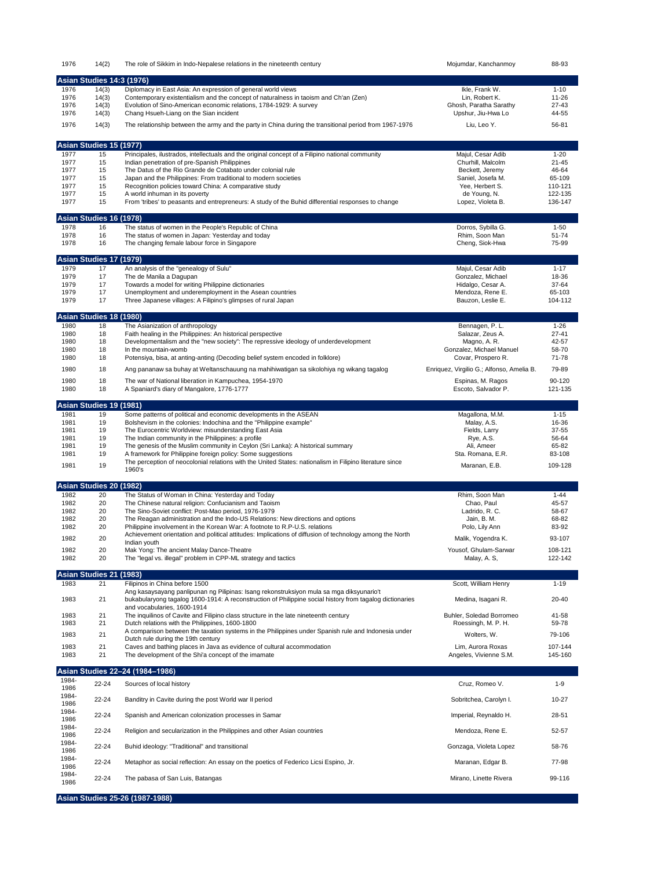| 1976          | 14(2)                            | The role of Sikkim in Indo-Nepalese relations in the nineteenth century                                                                                                                              | Mojumdar, Kanchanmoy                            | 88-93                 |
|---------------|----------------------------------|------------------------------------------------------------------------------------------------------------------------------------------------------------------------------------------------------|-------------------------------------------------|-----------------------|
|               | <b>Asian Studies 14:3 (1976)</b> |                                                                                                                                                                                                      |                                                 |                       |
| 1976          | 14(3)                            | Diplomacy in East Asia: An expression of general world views                                                                                                                                         | Ikle, Frank W.                                  | $1 - 10$              |
| 1976          | 14(3)                            | Contemporary existentialism and the concept of naturalness in taoism and Ch'an (Zen)                                                                                                                 | Lin, Robert K.                                  | $11 - 26$             |
| 1976          | 14(3)                            | Evolution of Sino-American economic relations, 1784-1929: A survey                                                                                                                                   | Ghosh, Paratha Sarathy                          | 27-43                 |
| 1976          | 14(3)                            | Chang Hsueh-Liang on the Sian incident                                                                                                                                                               | Upshur, Jiu-Hwa Lo                              | 44-55                 |
| 1976          | 14(3)                            | The relationship between the army and the party in China during the transitional period from 1967-1976                                                                                               | Liu, Leo Y.                                     | 56-81                 |
|               |                                  |                                                                                                                                                                                                      |                                                 |                       |
|               | Asian Studies 15 (1977)          |                                                                                                                                                                                                      |                                                 | $1 - 20$              |
| 1977<br>1977  | 15<br>15                         | Principales, ilustrados, intellectuals and the original concept of a Filipino national community<br>Indian penetration of pre-Spanish Philippines                                                    | Majul, Cesar Adib<br>Churhill, Malcolm          | $21 - 45$             |
| 1977          | 15                               | The Datus of the Rio Grande de Cotabato under colonial rule                                                                                                                                          | Beckett, Jeremy                                 | 46-64                 |
| 1977          | 15                               | Japan and the Philippines: From traditional to modern societies                                                                                                                                      | Saniel, Josefa M.                               | 65-109                |
| 1977          | 15                               | Recognition policies toward China: A comparative study                                                                                                                                               | Yee, Herbert S.                                 | 110-121               |
| 1977<br>1977  | 15<br>15                         | A world inhuman in its poverty<br>From 'tribes' to peasants and entrepreneurs: A study of the Buhid differential responses to change                                                                 | de Young, N.<br>Lopez, Violeta B.               | 122-135<br>136-147    |
|               |                                  |                                                                                                                                                                                                      |                                                 |                       |
| 1978          | Asian Studies 16 (1978)<br>16    | The status of women in the People's Republic of China                                                                                                                                                | Dorros, Sybilla G.                              | $1 - 50$              |
| 1978          | 16                               | The status of women in Japan: Yesterday and today                                                                                                                                                    | Rhim, Soon Man                                  | 51-74                 |
| 1978          | 16                               | The changing female labour force in Singapore                                                                                                                                                        | Cheng, Siok-Hwa                                 | 75-99                 |
|               | <b>Asian Studies 17</b>          | (1979)                                                                                                                                                                                               |                                                 |                       |
| 1979          | 17                               | An analysis of the "genealogy of Sulu"                                                                                                                                                               | Majul, Cesar Adib                               | $1 - 17$              |
| 1979          | 17                               | The de Manila a Dagupan                                                                                                                                                                              | Gonzalez, Michael                               | 18-36                 |
| 1979          | 17                               | Towards a model for writing Philippine dictionaries                                                                                                                                                  | Hidalgo, Cesar A.                               | 37-64                 |
| 1979          | 17                               | Unemployment and underemployment in the Asean countries                                                                                                                                              | Mendoza, Rene E.                                | 65-103                |
| 1979          | 17                               | Three Japanese villages: A Filipino's glimpses of rural Japan                                                                                                                                        | Bauzon, Leslie E.                               | 104-112               |
|               | Asian Studies 18 (1980)          |                                                                                                                                                                                                      |                                                 |                       |
| 1980<br>1980  | 18<br>18                         | The Asianization of anthropology<br>Faith healing in the Philippines: An historical perspective                                                                                                      | Bennagen, P. L.<br>Salazar, Zeus A.             | $1 - 26$<br>$27 - 41$ |
| 1980          | 18                               | Developmentalism and the "new society": The repressive ideology of underdevelopment                                                                                                                  | Magno, A. R.                                    | 42-57                 |
| 1980          | 18                               | In the mountain-womb                                                                                                                                                                                 | Gonzalez, Michael Manuel                        | 58-70                 |
| 1980          | 18                               | Potensiya, bisa, at anting-anting (Decoding belief system encoded in folklore)                                                                                                                       | Covar, Prospero R.                              | 71-78                 |
| 1980          | 18                               | Ang pananaw sa buhay at Weltanschauung na mahihiwatigan sa sikolohiya ng wikang tagalog                                                                                                              | Enriquez, Virgilio G.; Alfonso, Amelia B.       | 79-89                 |
| 1980          | 18                               | The war of National liberation in Kampuchea, 1954-1970                                                                                                                                               | Espinas, M. Ragos                               | 90-120                |
| 1980          | 18                               | A Spaniard's diary of Mangalore, 1776-1777                                                                                                                                                           | Escoto, Salvador P.                             | 121-135               |
|               | Asian Studies 19 (1981)          |                                                                                                                                                                                                      |                                                 |                       |
| 1981          | 19                               | Some patterns of political and economic developments in the ASEAN                                                                                                                                    | Magallona, M.M.                                 | $1 - 15$              |
| 1981          | 19                               | Bolshevism in the colonies: Indochina and the "Philippine example"                                                                                                                                   | Malay, A.S.                                     | 16-36                 |
| 1981          | 19                               | The Eurocentric Worldview: misunderstanding East Asia                                                                                                                                                | Fields, Larry                                   | 37-55                 |
| 1981          | 19                               | The Indian community in the Philippines: a profile                                                                                                                                                   | Rye, A.S.                                       | 56-64                 |
| 1981          | 19                               | The genesis of the Muslim community in Ceylon (Sri Lanka): A historical summary                                                                                                                      | Ali, Ameer                                      | 65-82                 |
| 1981          | 19                               | A framework for Philippine foreign policy: Some suggestions                                                                                                                                          | Sta. Romana, E.R.                               | 83-108                |
| 1981          | 19                               | The perception of neocolonial relations with the United States: nationalism in Filipino literature since<br>1960's                                                                                   | Maranan, E.B.                                   | 109-128               |
|               | Asian Studies 20 (1982)          |                                                                                                                                                                                                      |                                                 |                       |
| 1982          | 20                               | The Status of Woman in China: Yesterday and Today                                                                                                                                                    | Rhim. Soon Man                                  | $1 - 44$              |
| 1982          | 20                               | The Chinese natural religion: Confucianism and Taoism                                                                                                                                                | Chao, Paul                                      | 45-57                 |
| 1982          | 20                               | The Sino-Soviet conflict: Post-Mao period, 1976-1979                                                                                                                                                 | Ladrido, R. C.                                  | 58-67                 |
| 1982          | 20                               | The Reagan administration and the Indo-US Relations: New directions and options                                                                                                                      | Jain, B. M.                                     | 68-82                 |
| 1982          | 20                               | Philippine involvement in the Korean War: A footnote to R.P-U.S. relations                                                                                                                           | Polo, Lily Ann                                  | 83-92                 |
| 1982          | 20                               | Achievement orientation and political attitudes: Implications of diffusion of technology among the North<br>Indian youth                                                                             | Malik, Yogendra K.                              | 93-107                |
| 1982          | 20                               | Mak Yong: The ancient Malay Dance-Theatre                                                                                                                                                            | Yousof, Ghulam-Sarwar                           | 108-121               |
| 1982          | 20                               | The "legal vs. illegal" problem in CPP-ML strategy and tactics                                                                                                                                       | Malay, A. S,                                    | 122-142               |
|               | Asian Studies 21 (1983)          |                                                                                                                                                                                                      |                                                 |                       |
| 1983          | 21                               | Filipinos in China before 1500                                                                                                                                                                       | Scott, William Henry                            | $1 - 19$              |
| 1983          | 21                               | Ang kasaysayang panlipunan ng Pilipinas: Isang rekonstruksiyon mula sa mga diksyunario't<br>bukabularyong tagalog 1600-1914: A reconstruction of Philippine social history from tagalog dictionaries | Medina, Isagani R.                              | 20-40                 |
|               |                                  | and vocabularies, 1600-1914                                                                                                                                                                          |                                                 |                       |
| 1983<br>1983  | 21<br>21                         | The inquilinos of Cavite and Filipino class structure in the late nineteenth century<br>Dutch relations with the Philippines, 1600-1800                                                              | Buhler, Soledad Borromeo<br>Roessingh, M. P. H. | 41-58<br>59-78        |
| 1983          | 21                               | A comparison between the taxation systems in the Philippines under Spanish rule and Indonesia under                                                                                                  | Wolters, W.                                     | 79-106                |
|               |                                  | Dutch rule during the 19th century                                                                                                                                                                   |                                                 |                       |
| 1983<br>1983  | 21<br>21                         | Caves and bathing places in Java as evidence of cultural accommodation<br>The development of the Shi'a concept of the imamate                                                                        | Lim, Aurora Roxas<br>Angeles, Vivienne S.M.     | 107-144<br>145-160    |
|               |                                  | Asian Studies 22-24 (1984-1986)                                                                                                                                                                      |                                                 |                       |
| 1984-         |                                  |                                                                                                                                                                                                      |                                                 |                       |
| 1986<br>1984- | 22-24                            | Sources of local history                                                                                                                                                                             | Cruz, Romeo V.                                  | $1 - 9$               |
| 1986          | 22-24                            | Banditry in Cavite during the post World war II period                                                                                                                                               | Sobritchea, Carolyn I.                          | $10 - 27$             |
| 1984-<br>1986 | 22-24                            | Spanish and American colonization processes in Samar                                                                                                                                                 | Imperial, Reynaldo H.                           | 28-51                 |
| 1984-         | 22-24                            | Religion and secularization in the Philippines and other Asian countries                                                                                                                             | Mendoza, Rene E.                                | 52-57                 |
| 1986<br>1984- | 22-24                            | Buhid ideology: "Traditional" and transitional                                                                                                                                                       | Gonzaga, Violeta Lopez                          | 58-76                 |
| 1986<br>1984- |                                  |                                                                                                                                                                                                      |                                                 |                       |
| 1986<br>1984- | 22-24                            | Metaphor as social reflection: An essay on the poetics of Federico Licsi Espino, Jr.                                                                                                                 | Maranan, Edgar B.                               | 77-98                 |
| 1986          | 22-24                            | The pabasa of San Luis, Batangas                                                                                                                                                                     | Mirano, Linette Rivera                          | 99-116                |

**Asian Studies 25-26 (1987-1988)**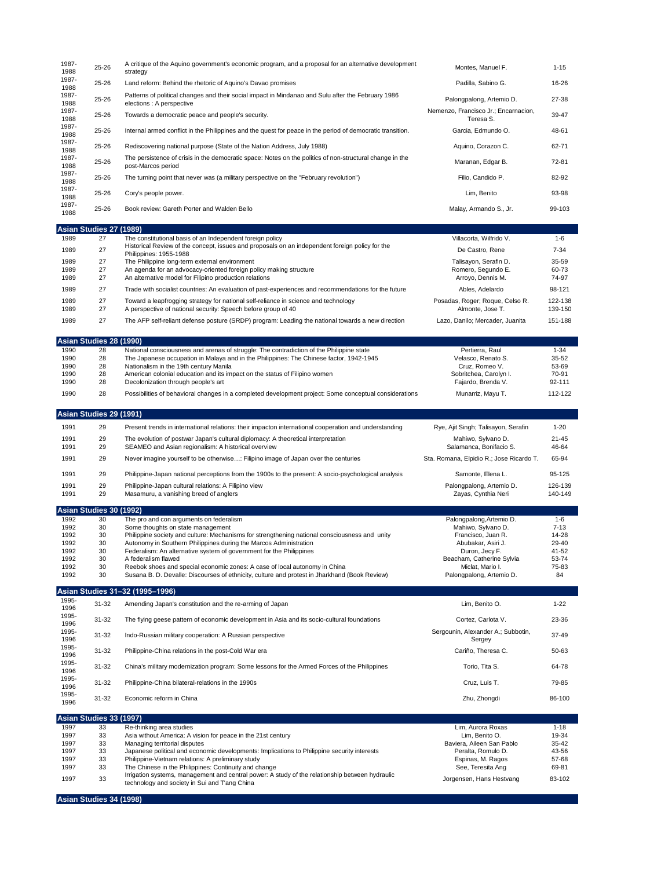| 1987-<br>1988         | 25-26                         | A critique of the Aquino government's economic program, and a proposal for an alternative development<br>strategy                                                                   | Montes, Manuel F.                               | $1 - 15$            |
|-----------------------|-------------------------------|-------------------------------------------------------------------------------------------------------------------------------------------------------------------------------------|-------------------------------------------------|---------------------|
| 1987-                 | 25-26                         | Land reform: Behind the rhetoric of Aquino's Davao promises                                                                                                                         | Padilla, Sabino G.                              | 16-26               |
| 1988<br>1987-         | 25-26                         | Patterns of political changes and their social impact in Mindanao and Sulu after the February 1986                                                                                  | Palongpalong, Artemio D.                        | 27-38               |
| 1988<br>1987-         |                               | elections : A perspective                                                                                                                                                           | Nemenzo, Francisco Jr.; Encarnacion,            |                     |
| 1988<br>1987-         | 25-26                         | Towards a democratic peace and people's security.                                                                                                                                   | Teresa S.                                       | 39-47               |
| 1988                  | 25-26                         | Internal armed conflict in the Philippines and the quest for peace in the period of democratic transition.                                                                          | Garcia, Edmundo O.                              | 48-61               |
| 1987-<br>1988         | 25-26                         | Rediscovering national purpose (State of the Nation Address, July 1988)                                                                                                             | Aquino, Corazon C.                              | 62-71               |
| 1987-<br>1988         | 25-26                         | The persistence of crisis in the democratic space: Notes on the politics of non-structural change in the<br>post-Marcos period                                                      | Maranan, Edgar B.                               | 72-81               |
| 1987-<br>1988         | 25-26                         | The turning point that never was (a military perspective on the "February revolution")                                                                                              | Filio, Candido P.                               | 82-92               |
| 1987-<br>1988         | 25-26                         | Cory's people power.                                                                                                                                                                | Lim, Benito                                     | 93-98               |
| 1987-<br>1988         | 25-26                         | Book review: Gareth Porter and Walden Bello                                                                                                                                         | Malay, Armando S., Jr.                          | 99-103              |
|                       | <b>Asian Studies 27</b>       | (1989)                                                                                                                                                                              |                                                 |                     |
| 1989<br>1989          | 27<br>27                      | The constitutional basis of an Independent foreign policy<br>Historical Review of the concept, issues and proposals on an independent foreign policy for the                        | Villacorta, Wilfrido V.<br>De Castro, Rene      | $1 - 6$<br>$7 - 34$ |
| 1989                  | 27                            | Philippines: 1955-1988<br>The Philippine long-term external environment                                                                                                             | Talisayon, Serafin D.                           | 35-59               |
| 1989<br>1989          | 27<br>27                      | An agenda for an advocacy-oriented foreign policy making structure<br>An alternative model for Filipino production relations                                                        | Romero, Segundo E.<br>Arroyo, Dennis M.         | 60-73<br>74-97      |
| 1989                  | 27                            | Trade with socialist countries: An evaluation of past-experiences and recommendations for the future                                                                                | Ables, Adelardo                                 | 98-121              |
| 1989                  | 27                            | Toward a leapfrogging strategy for national self-reliance in science and technology                                                                                                 | Posadas, Roger; Roque, Celso R.                 | 122-138             |
| 1989                  | 27                            | A perspective of national security: Speech before group of 40                                                                                                                       | Almonte, Jose T.                                | 139-150             |
| 1989                  | 27                            | The AFP self-reliant defense posture (SRDP) program: Leading the national towards a new direction                                                                                   | Lazo, Danilo; Mercader, Juanita                 | 151-188             |
|                       | Asian Studies 28 (1990)       |                                                                                                                                                                                     |                                                 |                     |
| 1990<br>1990          | 28<br>28                      | National consciousness and arenas of struggle: The contradiction of the Philippine state<br>The Japanese occupation in Malaya and in the Philippines: The Chinese factor, 1942-1945 | Pertierra, Raul<br>Velasco, Renato S.           | $1 - 34$<br>35-52   |
| 1990<br>1990          | 28<br>28                      | Nationalism in the 19th century Manila<br>American colonial education and its impact on the status of Filipino women                                                                | Cruz. Romeo V.<br>Sobritchea, Carolyn I.        | 53-69<br>70-91      |
| 1990                  | 28                            | Decolonization through people's art                                                                                                                                                 | Fajardo, Brenda V.                              | 92-111              |
| 1990                  | 28                            | Possibilities of behavioral changes in a completed development project: Some conceptual considerations                                                                              | Munarriz, Mayu T.                               | 112-122             |
|                       | Asian Studies 29 (1991)       |                                                                                                                                                                                     |                                                 |                     |
| 1991                  | 29                            | Present trends in international relations: their impacton international cooperation and understanding                                                                               | Rye, Ajit Singh; Talisayon, Serafin             | $1 - 20$            |
| 1991<br>1991          | 29<br>29                      | The evolution of postwar Japan's cultural diplomacy: A theoretical interpretation<br>SEAMEO and Asian regionalism: A historical overview                                            | Mahiwo, Sylvano D.<br>Salamanca, Bonifacio S.   | $21 - 45$<br>46-64  |
| 1991                  | 29                            | Never imagine yourself to be otherwise: Filipino image of Japan over the centuries                                                                                                  | Sta. Romana, Elpidio R.; Jose Ricardo T.        | 65-94               |
| 1991                  | 29                            | Philippine-Japan national perceptions from the 1900s to the present: A socio-psychological analysis                                                                                 | Samonte, Elena L.                               | 95-125              |
| 1991                  | 29                            | Philippine-Japan cultural relations: A Filipino view                                                                                                                                | Palongpalong, Artemio D.                        | 126-139             |
| 1991                  | 29                            | Masamuru, a vanishing breed of anglers                                                                                                                                              | Zayas, Cynthia Neri                             | 140-149             |
|                       | Asian Studies 30 (1992)       |                                                                                                                                                                                     |                                                 |                     |
| 1992<br>1992          | 30<br>30                      | The pro and con arguments on federalism<br>Some thoughts on state management                                                                                                        | Palongpalong, Artemio D.<br>Mahiwo, Sylvano D.  | $1-6$<br>$7 - 13$   |
| 1992                  | 30                            | Philippine society and culture: Mechanisms for strengthening national consciousness and unity                                                                                       | Francisco, Juan R.                              | 14-28               |
| 1992<br>1992          | 30<br>30                      | Autonomy in Southern Philippines during the Marcos Administration<br>Federalism: An alternative system of government for the Philippines                                            | Abubakar, Asiri J.<br>Duron, Jecy F.            | 29-40<br>41-52      |
| 1992                  | 30                            | A federalism flawed                                                                                                                                                                 | Beacham, Catherine Sylvia                       | 53-74               |
| 1992<br>1992          | 30<br>30                      | Reebok shoes and special economic zones: A case of local autonomy in China<br>Susana B. D. Devalle: Discourses of ethnicity, culture and protest in Jharkhand (Book Review)         | Miclat, Mario I.<br>Palongpalong, Artemio D.    | 75-83<br>84         |
|                       |                               | Asian Studies 31–32 (1995–1996)                                                                                                                                                     |                                                 |                     |
| 1995-<br>1996         | 31-32                         | Amending Japan's constitution and the re-arming of Japan                                                                                                                            | Lim, Benito O.                                  | $1 - 22$            |
| 1995-                 | $31 - 32$                     | The flying geese pattern of economic development in Asia and its socio-cultural foundations                                                                                         | Cortez, Carlota V.                              | 23-36               |
| 1996<br>1995-<br>1996 | 31-32                         | Indo-Russian military cooperation: A Russian perspective                                                                                                                            | Sergounin, Alexander A.; Subbotin,<br>Sergev    | 37-49               |
| 1995-                 | 31-32                         | Philippine-China relations in the post-Cold War era                                                                                                                                 | Cariño, Theresa C.                              | 50-63               |
| 1996<br>1995-         | 31-32                         | China's military modernization program: Some lessons for the Armed Forces of the Philippines                                                                                        | Torio, Tita S.                                  | 64-78               |
| 1996<br>1995-         | 31-32                         | Philippine-China bilateral-relations in the 1990s                                                                                                                                   | Cruz, Luis T.                                   | 79-85               |
| 1996<br>1995-         | 31-32                         | Economic reform in China                                                                                                                                                            | Zhu, Zhongdi                                    | 86-100              |
| 1996                  |                               |                                                                                                                                                                                     |                                                 |                     |
| 1997                  | Asian Studies 33 (1997)<br>33 | Re-thinking area studies                                                                                                                                                            | Lim, Aurora Roxas                               | $1 - 18$            |
| 1997                  | 33                            | Asia without America: A vision for peace in the 21st century                                                                                                                        | Lim, Benito O.                                  | 19-34               |
| 1997<br>1997          | 33<br>33                      | Managing territorial disputes<br>Japanese political and economic developments: Implications to Philippine security interests                                                        | Baviera, Aileen San Pablo<br>Peralta, Romulo D. | 35-42<br>43-56      |
| 1997                  | 33                            | Philippine-Vietnam relations: A preliminary study                                                                                                                                   | Espinas, M. Ragos                               | 57-68               |
| 1997                  | 33                            | The Chinese in the Philippines: Continuity and change<br>Irrigation systems, management and central power: A study of the relationship between hydraulic                            | See, Teresita Ang                               | 69-81               |
| 1997                  | 33                            | technology and society in Sui and T'ang China                                                                                                                                       | Jorgensen, Hans Hestvang                        | 83-102              |

**Asian Studies 34 (1998)**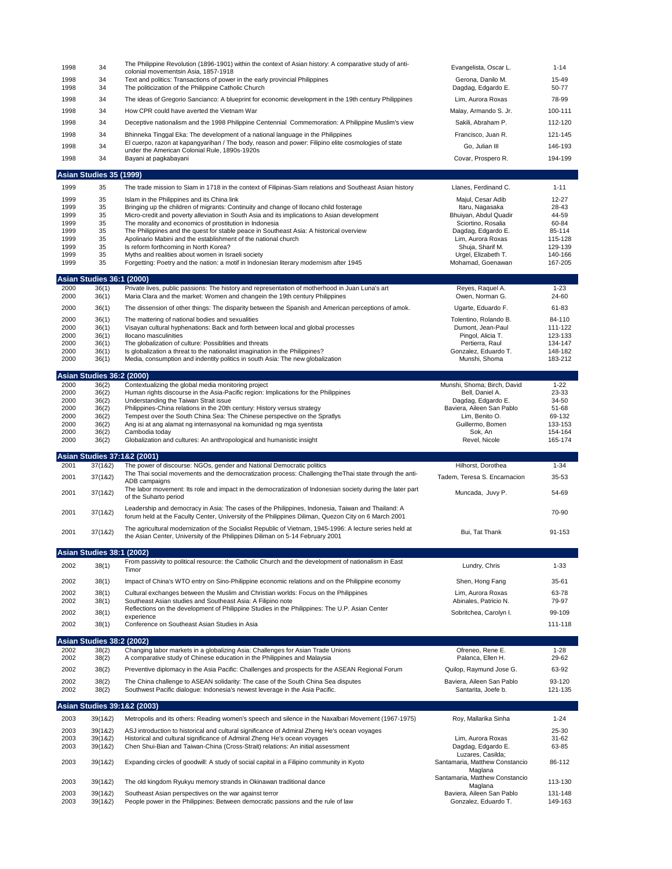| 1998         | 34                                        | The Philippine Revolution (1896-1901) within the context of Asian history: A comparative study of anti-                                                                                | Evangelista, Oscar L.                       | $1 - 14$           |
|--------------|-------------------------------------------|----------------------------------------------------------------------------------------------------------------------------------------------------------------------------------------|---------------------------------------------|--------------------|
|              |                                           | colonial movementsin Asia, 1857-1918                                                                                                                                                   |                                             |                    |
| 1998<br>1998 | 34<br>34                                  | Text and politics: Transactions of power in the early provincial Philippines<br>The politicization of the Philippine Catholic Church                                                   | Gerona, Danilo M.<br>Dagdag, Edgardo E.     | 15-49<br>50-77     |
|              |                                           |                                                                                                                                                                                        |                                             |                    |
| 1998         | 34                                        | The ideas of Gregorio Sancianco: A blueprint for economic development in the 19th century Philippines                                                                                  | Lim, Aurora Roxas                           | 78-99              |
| 1998         | 34                                        | How CPR could have averted the Vietnam War                                                                                                                                             | Malay, Armando S. Jr.                       | 100-111            |
| 1998         | 34                                        | Deceptive nationalism and the 1998 Philippine Centennial Commemoration: A Philippine Muslim's view                                                                                     | Sakili, Abraham P.                          | 112-120            |
|              |                                           |                                                                                                                                                                                        |                                             |                    |
| 1998         | 34                                        | Bhinneka Tinggal Eka: The development of a national language in the Philippines<br>El cuerpo, razon at kapangyarihan / The body, reason and power: Filipino elite cosmologies of state | Francisco, Juan R.                          | 121-145            |
| 1998         | 34                                        | under the American Colonial Rule, 1890s-1920s                                                                                                                                          | Go, Julian III                              | 146-193            |
| 1998         | 34                                        | Bayani at pagkabayani                                                                                                                                                                  | Covar, Prospero R.                          | 194-199            |
|              |                                           |                                                                                                                                                                                        |                                             |                    |
|              | Asian Studies 35 (1999)                   |                                                                                                                                                                                        |                                             |                    |
| 1999         | 35                                        | The trade mission to Siam in 1718 in the context of Filipinas-Siam relations and Southeast Asian history                                                                               | Llanes, Ferdinand C.                        | $1 - 11$           |
|              |                                           |                                                                                                                                                                                        |                                             |                    |
| 1999<br>1999 | 35<br>35                                  | Islam in the Philippines and its China link                                                                                                                                            | Majul, Cesar Adib                           | 12-27<br>28-43     |
| 1999         | 35                                        | Bringing up the children of migrants: Continuity and change of Ilocano child fosterage<br>Micro-credit and poverty alleviation in South Asia and its implications to Asian development | Itaru, Nagasaka<br>Bhuiyan, Abdul Quadir    | 44-59              |
| 1999         | 35                                        | The morality and economics of prostitution in Indonesia                                                                                                                                | Sciortino, Rosalia                          | 60-84              |
| 1999         | 35                                        | The Philippines and the quest for stable peace in Southeast Asia: A historical overview                                                                                                | Dagdag, Edgardo E.                          | 85-114             |
| 1999         | 35                                        | Apolinario Mabini and the establishment of the national church                                                                                                                         | Lim, Aurora Roxas                           | 115-128            |
| 1999         | 35                                        | Is reform forthcoming in North Korea?                                                                                                                                                  | Shuja, Sharif M.                            | 129-139            |
| 1999         | 35                                        | Myths and realities about women in Israeli society                                                                                                                                     | Urgel, Elizabeth T.                         | 140-166            |
| 1999         | 35                                        | Forgetting: Poetry and the nation: a motif in Indonesian literary modernism after 1945                                                                                                 | Mohamad, Goenawan                           | 167-205            |
|              | Asian Studies 36:1 (2000)                 |                                                                                                                                                                                        |                                             |                    |
| 2000         | 36(1)                                     | Private lives, public passions: The history and representation of motherhood in Juan Luna's art                                                                                        | Reyes, Raquel A.                            | $1 - 23$           |
| 2000         | 36(1)                                     | Maria Clara and the market: Women and changein the 19th century Philippines                                                                                                            | Owen, Norman G.                             | 24-60              |
|              |                                           |                                                                                                                                                                                        |                                             |                    |
| 2000         | 36(1)                                     | The dissension of other things: The disparity between the Spanish and American perceptions of amok.                                                                                    | Ugarte, Eduardo F.                          | 61-83              |
| 2000         | 36(1)                                     | The mattering of national bodies and sexualities                                                                                                                                       | Tolentino, Rolando B.                       | 84-110             |
| 2000         | 36(1)                                     | Visayan cultural hyphenations: Back and forth between local and global processes                                                                                                       | Dumont, Jean-Paul                           | 111-122            |
| 2000<br>2000 | 36(1)<br>36(1)                            | Ilocano masculinities<br>The globalization of culture: Possiblities and threats                                                                                                        | Pingol, Alicia T.<br>Pertierra, Raul        | 123-133<br>134-147 |
| 2000         | 36(1)                                     | Is globalization a threat to the nationalist imagination in the Philippines?                                                                                                           | Gonzalez, Eduardo T.                        | 148-182            |
| 2000         | 36(1)                                     | Media, consumption and indentity politics in south Asia: The new globalization                                                                                                         | Munshi, Shoma                               | 183-212            |
|              |                                           |                                                                                                                                                                                        |                                             |                    |
|              | <b>Asian Studies 36:2 (2000)</b>          |                                                                                                                                                                                        |                                             |                    |
| 2000         | 36(2)                                     | Contextualizing the global media monitoring project                                                                                                                                    | Munshi, Shoma; Birch, David                 | $1 - 22$           |
| 2000         | 36(2)                                     | Human rights discourse in the Asia-Pacific region: Implications for the Philippines                                                                                                    | Bell, Daniel A.                             | 23-33              |
| 2000         | 36(2)                                     | Understanding the Taiwan Strait issue                                                                                                                                                  | Dagdag, Edgardo E.                          | 34-50              |
| 2000<br>2000 | 36(2)                                     | Philippines-China relations in the 20th century: History versus strategy                                                                                                               | Baviera, Aileen San Pablo<br>Lim, Benito O. | 51-68<br>69-132    |
| 2000         | 36(2)<br>36(2)                            | Tempest over the South China Sea: The Chinese perspective on the Spratlys<br>Ang isi at ang alamat ng internasyonal na komunidad ng mga syentista                                      | Guillermo, Bomen                            | 133-153            |
| 2000         | 36(2)                                     | Cambodia today                                                                                                                                                                         | Sok, An                                     | 154-164            |
|              |                                           | Globalization and cultures: An anthropological and humanistic insight                                                                                                                  |                                             | 165-174            |
| 2000         | 36(2)                                     |                                                                                                                                                                                        | Revel, Nicole                               |                    |
|              |                                           |                                                                                                                                                                                        |                                             |                    |
|              |                                           | Asian Studies 37:1&2 (2001)                                                                                                                                                            |                                             |                    |
| 2001         | 37(182)                                   | The power of discourse: NGOs, gender and National Democratic politics                                                                                                                  | Hilhorst, Dorothea                          | $1 - 34$           |
|              |                                           | The Thai social movements and the democratization process: Challenging the Thai state through the anti-                                                                                |                                             |                    |
| 2001         | 37(182)                                   | ADB campaigns                                                                                                                                                                          | Tadem, Teresa S. Encarnacion                | 35-53              |
| 2001         | 37(182)                                   | The labor movement: Its role and impact in the democratization of Indonesian society during the later part                                                                             | Muncada, Juvy P.                            | 54-69              |
|              |                                           | of the Suharto period                                                                                                                                                                  |                                             |                    |
| 2001         | 37(182)                                   | Leadership and democracy in Asia: The cases of the Philippines, Indonesia, Taiwan and Thailand: A                                                                                      |                                             | 70-90              |
|              |                                           | forum held at the Faculty Center, University of the Philippines Diliman, Quezon City on 6 March 2001                                                                                   |                                             |                    |
|              |                                           | The agricultural modernization of the Socialist Republic of Vietnam, 1945-1996: A lecture series held at                                                                               |                                             |                    |
| 2001         | 37(182)                                   | the Asian Center, University of the Philippines Diliman on 5-14 February 2001                                                                                                          | Bui, Tat Thank                              | 91-153             |
|              |                                           |                                                                                                                                                                                        |                                             |                    |
|              | <b>Asian Studies 38:1 (2002)</b>          |                                                                                                                                                                                        |                                             |                    |
| 2002         | 38(1)                                     | From passivity to political resource: the Catholic Church and the development of nationalism in East                                                                                   | Lundry, Chris                               | $1 - 33$           |
|              |                                           | Timor                                                                                                                                                                                  |                                             |                    |
| 2002         | 38(1)                                     | Impact of China's WTO entry on Sino-Philippine economic relations and on the Philippine economy                                                                                        | Shen, Hong Fang                             | 35-61              |
| 2002         | 38(1)                                     | Cultural exchanges between the Muslim and Christian worlds: Focus on the Philippines                                                                                                   | Lim, Aurora Roxas                           | 63-78              |
| 2002         | 38(1)                                     | Southeast Asian studies and Southeast Asia: A Filipino note                                                                                                                            | Abinales, Patricio N.                       | 79-97              |
| 2002         | 38(1)                                     | Reflections on the development of Philippine Studies in the Philippines: The U.P. Asian Center                                                                                         | Sobritchea, Carolyn I.                      | 99-109             |
|              |                                           | experience                                                                                                                                                                             |                                             |                    |
| 2002         | 38(1)                                     | Conference on Southeast Asian Studies in Asia                                                                                                                                          |                                             | 111-118            |
|              |                                           |                                                                                                                                                                                        |                                             |                    |
| 2002         | <b>Asian Studies 38:2 (2002)</b><br>38(2) | Changing labor markets in a globalizing Asia: Challenges for Asian Trade Unions                                                                                                        |                                             | $1 - 28$           |
| 2002         | 38(2)                                     | A comparative study of Chinese education in the Philippines and Malaysia                                                                                                               | Ofreneo, Rene E.<br>Palanca, Ellen H.       | 29-62              |
|              |                                           |                                                                                                                                                                                        |                                             |                    |
| 2002         | 38(2)                                     | Preventive diplomacy in the Asia Pacific: Challenges and prospects for the ASEAN Regional Forum                                                                                        | Quilop, Raymund Jose G.                     | 63-92              |
| 2002         | 38(2)                                     | The China challenge to ASEAN solidarity: The case of the South China Sea disputes                                                                                                      | Baviera, Aileen San Pablo                   | 93-120             |
| 2002         | 38(2)                                     | Southwest Pacific dialogue: Indonesia's newest leverage in the Asia Pacific.                                                                                                           | Santarita, Joefe b.                         | 121-135            |
|              |                                           |                                                                                                                                                                                        |                                             |                    |
|              |                                           | Asian Studies 39:1&2 (2003)                                                                                                                                                            |                                             |                    |
| 2003         | 39(1&2)                                   | Metropolis and its others: Reading women's speech and silence in the Naxalbari Movement (1967-1975)                                                                                    | Roy, Mallarika Sinha                        | $1 - 24$           |
| 2003         | 39(1&2)                                   | ASJ introduction to historical and cultural significance of Admiral Zheng He's ocean voyages                                                                                           |                                             | 25-30              |
| 2003         | 39(1&2)                                   | Historical and cultural significance of Admiral Zheng He's ocean voyages                                                                                                               | Lim, Aurora Roxas                           | 31-62              |
| 2003         | 39(182)                                   | Chen Shui-Bian and Taiwan-China (Cross-Strait) relations: An initial assessment                                                                                                        | Dagdag, Edgardo E.                          | 63-85              |
|              |                                           |                                                                                                                                                                                        | Luzares, Casilda;                           |                    |
| 2003         | 39(1&2)                                   | Expanding circles of goodwill: A study of social capital in a Filipino community in Kyoto                                                                                              | Santamaria, Matthew Constancio              | 86-112             |
|              |                                           |                                                                                                                                                                                        | Maglana                                     |                    |
| 2003         | 39(1&2)                                   | The old kingdom Ryukyu memory strands in Okinawan traditional dance                                                                                                                    | Santamaria, Matthew Constancio<br>Maglana   | 113-130            |
| 2003         | 39(1&2)                                   | Southeast Asian perspectives on the war against terror                                                                                                                                 | Baviera, Aileen San Pablo                   | 131-148            |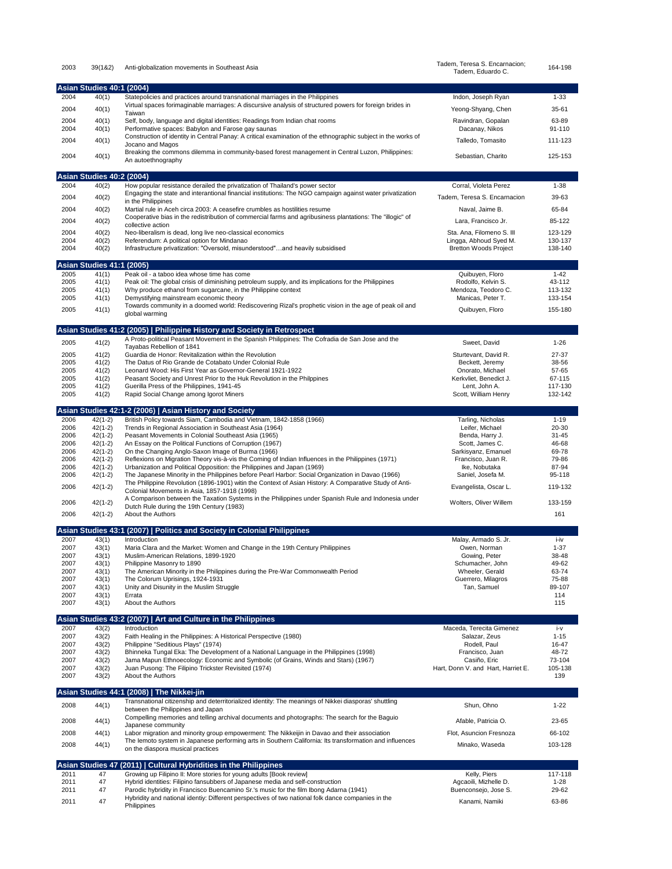| 2003         | 39(182)                          | Anti-globalization movements in Southeast Asia                                                                                                                                                              | Tadem, Teresa S. Encarnacion;<br>Tadem, Eduardo C.     | 164-198            |
|--------------|----------------------------------|-------------------------------------------------------------------------------------------------------------------------------------------------------------------------------------------------------------|--------------------------------------------------------|--------------------|
|              | Asian Studies 40:1 (2004)        |                                                                                                                                                                                                             |                                                        |                    |
| 2004         | 40(1)                            | Statepolicies and practices around transnational marriages in the Philippines                                                                                                                               | Indon, Joseph Ryan                                     | $1 - 33$           |
| 2004         | 40(1)                            | Virtual spaces forimaginable marriages: A discursive analysis of structured powers for foreign brides in<br>Taiwan                                                                                          | Yeong-Shyang, Chen                                     | 35-61              |
| 2004         | 40(1)                            | Self, body, language and digital identities: Readings from Indian chat rooms                                                                                                                                | Ravindran, Gopalan                                     | 63-89              |
| 2004         | 40(1)                            | Performative spaces: Babylon and Farose gay saunas<br>Construction of identity in Central Panay: A critical examination of the ethnographic subject in the works of                                         | Dacanay, Nikos                                         | 91-110             |
| 2004         | 40(1)                            | Jocano and Magos                                                                                                                                                                                            | Talledo, Tomasito                                      | 111-123            |
| 2004         | 40(1)                            | Breaking the commons dilemma in community-based forest management in Central Luzon, Philippines:<br>An autoethnography                                                                                      | Sebastian, Charito                                     | 125-153            |
|              | <b>Asian Studies 40:2 (2004)</b> |                                                                                                                                                                                                             |                                                        |                    |
| 2004         | 40(2)                            | How popular resistance derailed the privatization of Thailand's power sector                                                                                                                                | Corral, Violeta Perez                                  | $1 - 38$           |
| 2004         | 40(2)                            | Engaging the state and interantional financial institutions: The NGO campaign against water privatization<br>in the Philippines                                                                             | Tadem, Teresa S. Encarnacion                           | 39-63              |
| 2004         | 40(2)                            | Martial rule in Aceh circa 2003: A ceasefire crumbles as hostilities resume                                                                                                                                 | Naval, Jaime B.                                        | 65-84              |
| 2004         | 40(2)                            | Cooperative bias in the redistribution of commercial farms and agribusiness plantations: The "illogic" of<br>collective action                                                                              | Lara, Francisco Jr.                                    | 85-122             |
| 2004         | 40(2)                            | Neo-liberalism is dead, long live neo-classical economics                                                                                                                                                   | Sta. Ana, Filomeno S. III                              | 123-129            |
| 2004<br>2004 | 40(2)<br>40(2)                   | Referendum: A political option for Mindanao<br>Infrastructure privatization: "Oversold, misunderstood"and heavily subsidised                                                                                | Lingga, Abhoud Syed M.<br><b>Bretton Woods Project</b> | 130-137<br>138-140 |
|              | <b>Asian Studies 41:1 (2005)</b> |                                                                                                                                                                                                             |                                                        |                    |
| 2005         | 41(1)                            | Peak oil - a taboo idea whose time has come                                                                                                                                                                 | Quibuyen, Floro                                        | $1 - 42$           |
| 2005<br>2005 | 41(1)<br>41(1)                   | Peak oil: The global crisis of diminishing petroleum supply, and its implications for the Philippines<br>Why produce ethanol from sugarcane, in the Philippine context                                      | Rodolfo, Kelvin S.<br>Mendoza, Teodoro C.              | 43-112<br>113-132  |
| 2005         | 41(1)                            | Demystifying mainstream economic theory                                                                                                                                                                     | Manicas, Peter T.                                      | 133-154            |
| 2005         | 41(1)                            | Towards community in a doomed world: Rediscovering Rizal's prophetic vision in the age of peak oil and<br>global warming                                                                                    | Quibuyen, Floro                                        | 155-180            |
|              |                                  | Asian Studies 41:2 (2005)   Philippine History and Society in Retrospect                                                                                                                                    |                                                        |                    |
| 2005         | 41(2)                            | A Proto-political Peasant Movement in the Spanish Philippines: The Cofradia de San Jose and the                                                                                                             | Sweet, David                                           | $1 - 26$           |
| 2005         | 41(2)                            | Tayabas Rebellion of 1841<br>Guardia de Honor: Revitalization within the Revolution                                                                                                                         | Sturtevant, David R.                                   | 27-37              |
| 2005         | 41(2)                            | The Datus of Rio Grande de Cotabato Under Colonial Rule                                                                                                                                                     | Beckett, Jeremy                                        | 38-56              |
| 2005         | 41(2)                            | Leonard Wood: His First Year as Governor-General 1921-1922                                                                                                                                                  | Onorato, Michael                                       | 57-65              |
| 2005<br>2005 | 41(2)<br>41(2)                   | Peasant Society and Unrest Prior to the Huk Revolution in the Philppines<br>Guerilla Press of the Philippines, 1941-45                                                                                      | Kerkvliet, Benedict J.<br>Lent, John A.                | 67-115<br>117-130  |
| 2005         | 41(2)                            | Rapid Social Change among Igorot Miners                                                                                                                                                                     | Scott, William Henry                                   | 132-142            |
|              |                                  | Asian Studies 42:1-2 (2006)   Asian History and Society                                                                                                                                                     |                                                        |                    |
| 2006<br>2006 | $42(1-2)$<br>$42(1-2)$           | British Policy towards Siam, Cambodia and Vietnam, 1842-1858 (1966)<br>Trends in Regional Association in Southeast Asia (1964)                                                                              | Tarling, Nicholas<br>Leifer, Michael                   | $1 - 19$<br>20-30  |
| 2006         | $42(1-2)$                        | Peasant Movements in Colonial Southeast Asia (1965)                                                                                                                                                         | Benda, Harry J.                                        | $31 - 45$          |
| 2006         | $42(1-2)$<br>$42(1-2)$           | An Essay on the Political Functions of Corruption (1967)                                                                                                                                                    | Scott, James C.                                        | 46-68<br>69-78     |
| 2006<br>2006 | $42(1-2)$                        | On the Changing Anglo-Saxon Image of Burma (1966)<br>Reflexions on Migration Theory vis-à-vis the Coming of Indian Influences in the Philippines (1971)                                                     | Sarkisyanz, Emanuel<br>Francisco, Juan R.              | 79-86              |
| 2006         | $42(1-2)$                        | Urbanization and Political Opposition: the Philippines and Japan (1969)                                                                                                                                     | Ike, Nobutaka                                          | 87-94              |
| 2006         | $42(1-2)$                        | The Japanese Minority in the Philippines before Pearl Harbor: Social Organization in Davao (1966)<br>The Philippine Revolution (1896-1901) witin the Context of Asian History: A Comparative Study of Anti- | Saniel, Josefa M.                                      | 95-118             |
| 2006         | $42(1-2)$                        | Colonial Movements in Asia, 1857-1918 (1998)                                                                                                                                                                | Evangelista, Oscar L.                                  | 119-132            |
| 2006         | $42(1-2)$                        | A Comparison between the Taxation Systems in the Philippines under Spanish Rule and Indonesia under<br>Dutch Rule during the 19th Century (1983)                                                            | Wolters, Oliver Willem                                 | 133-159            |
| 2006         | $42(1-2)$                        | About the Authors                                                                                                                                                                                           |                                                        | 161                |
|              |                                  | Asian Studies 43:1 (2007)   Politics and Society in Colonial Philippines                                                                                                                                    |                                                        |                    |
| 2007<br>2007 | 43(1)<br>43(1)                   | Introduction<br>Maria Clara and the Market: Women and Change in the 19th Century Philippines                                                                                                                | Malay, Armado S. Jr.<br>Owen, Norman                   | i-iv<br>$1 - 37$   |
| 2007         | 43(1)                            | Muslim-American Relations, 1899-1920                                                                                                                                                                        | Gowing, Peter                                          | 38-48              |
| 2007         | 43(1)                            | Philippine Masonry to 1890<br>The American Minority in the Philippines during the Pre-War Commonwealth Period                                                                                               | Schumacher, John                                       | 49-62              |
| 2007<br>2007 | 43(1)<br>43(1)                   | The Colorum Uprisings, 1924-1931                                                                                                                                                                            | Wheeler, Gerald<br>Guerrero, Milagros                  | 63-74<br>75-88     |
| 2007         | 43(1)                            | Unity and Disunity in the Muslim Struggle                                                                                                                                                                   | Tan, Samuel                                            | 89-107             |
| 2007<br>2007 | 43(1)<br>43(1)                   | Errata<br>About the Authors                                                                                                                                                                                 |                                                        | 114<br>115         |
|              |                                  | Asian Studies 43:2 (2007)   Art and Culture in the Philippines                                                                                                                                              |                                                        |                    |
| 2007         | 43(2)                            | Introduction                                                                                                                                                                                                | Maceda, Terecita Gimenez                               | i-v                |
| 2007<br>2007 | 43(2)<br>43(2)                   | Faith Healing in the Philippines: A Historical Perspective (1980)<br>Philippine "Seditious Plays" (1974)                                                                                                    | Salazar, Zeus<br>Rodell, Paul                          | $1 - 15$<br>16-47  |
| 2007         | 43(2)                            | Bhinneka Tungal Eka: The Development of a National Language in the Philippines (1998)                                                                                                                       | Francisco, Juan                                        | 48-72              |
| 2007<br>2007 | 43(2)                            | Jama Mapun Ethnoecology: Economic and Symbolic (of Grains, Winds and Stars) (1967)                                                                                                                          | Casiño, Eric<br>Hart, Donn V. and Hart, Harriet E.     | 73-104<br>105-138  |
| 2007         | 43(2)<br>43(2)                   | Juan Pusong: The Filipino Trickster Revisited (1974)<br>About the Authors                                                                                                                                   |                                                        | 139                |
|              |                                  | Asian Studies 44:1 (2008)   The Nikkei-jin                                                                                                                                                                  |                                                        |                    |
| 2008         | 44(1)                            | Transnational citizenship and deterritorialized identity: The meanings of Nikkei diasporas' shuttling<br>between the Philippines and Japan                                                                  | Shun, Ohno                                             | $1 - 22$           |
| 2008         | 44(1)                            | Compelling memories and telling archival documents and photographs: The search for the Baguio                                                                                                               | Afable, Patricia O.                                    | 23-65              |
| 2008         | 44(1)                            | Japanese community<br>Labor migration and minority group empowerment: The Nikkeijin in Davao and their association                                                                                          | Flot, Asuncion Fresnoza                                | 66-102             |
| 2008         | 44(1)                            | The lemoto system in Japanese performing arts in Southern California: Its transformation and influences                                                                                                     | Minako, Waseda                                         | 103-128            |
|              |                                  | on the diaspora musical practices                                                                                                                                                                           |                                                        |                    |
| 2011         | <b>Asian Studies 47</b><br>47    | (2011)   Cultural Hybridities in the Philippines<br>Growing up Filipino II: More stories for young adults [Book review]                                                                                     | Kelly, Piers                                           | 117-118            |
| 2011         | 47                               | Hybrid identities: Filipino fansubbers of Japanese media and self-construction                                                                                                                              | Agcaoili, Mizhelle D.                                  | $1 - 28$           |
| 2011         | 47                               | Parodic hybridity in Francisco Buencamino Sr.'s music for the film Ibong Adarna (1941)<br>Hybridity and national identiy: Different perspectives of two national folk dance companies in the                | Buenconsejo, Jose S.                                   | 29-62              |
| 2011         | 47                               | Philippines                                                                                                                                                                                                 | Kanami, Namiki                                         | 63-86              |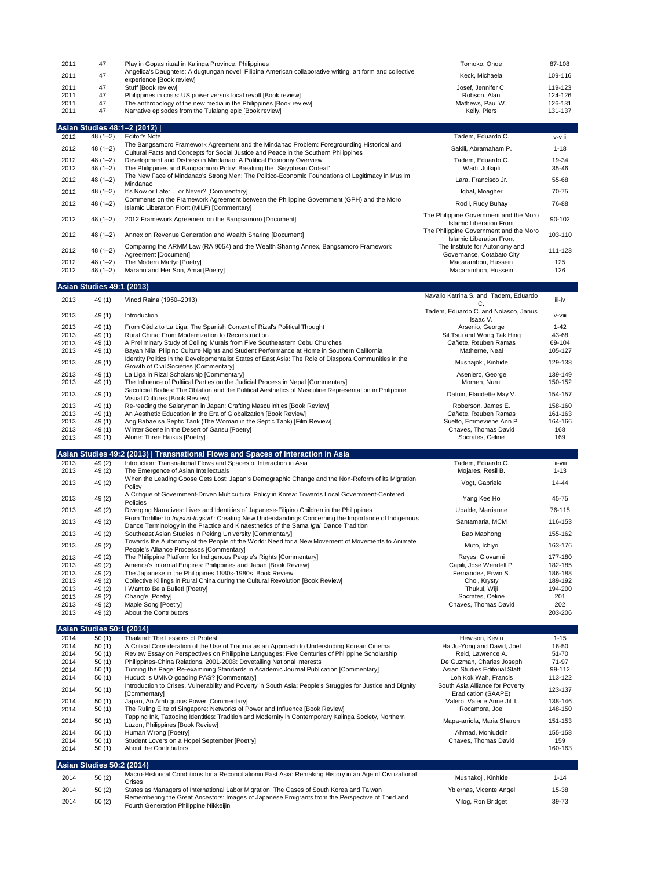| 2011         | 47                               | Play in Gopas ritual in Kalinga Province, Philippines                                                                                                                                                | Tomoko, Onoe                                                              | 87-108             |
|--------------|----------------------------------|------------------------------------------------------------------------------------------------------------------------------------------------------------------------------------------------------|---------------------------------------------------------------------------|--------------------|
| 2011         | 47                               | Angelica's Daughters: A dugtungan novel: Filipina American collaborative writing, art form and collective                                                                                            | Keck, Michaela                                                            | 109-116            |
| 2011         | 47                               | experience [Book review]<br>Stuff [Book review]                                                                                                                                                      | Josef, Jennifer C.                                                        | 119-123            |
| 2011         | 47                               | Philippines in crisis: US power versus local revolt [Book review]                                                                                                                                    | Robson, Alan                                                              | 124-126            |
| 2011         | 47                               | The anthropology of the new media in the Philippines [Book review]                                                                                                                                   | Mathews, Paul W.                                                          | 126-131            |
| 2011         | 47                               | Narrative episodes from the Tulalang epic [Book review]                                                                                                                                              | Kelly, Piers                                                              | 131-137            |
|              | Asian Studies 48:1–2 (2012)      |                                                                                                                                                                                                      |                                                                           |                    |
| 2012         | $48(1-2)$                        | <b>Editor's Note</b>                                                                                                                                                                                 | Tadem, Eduardo C.                                                         | v-viii             |
| 2012         | $48(1-2)$                        | The Bangsamoro Framework Agreement and the Mindanao Problem: Foregrounding Historical and                                                                                                            | Sakili, Abramaham P.                                                      | $1 - 18$           |
|              |                                  | Cultural Facts and Concepts for Social Justice and Peace in the Southern Philippines                                                                                                                 |                                                                           |                    |
| 2012<br>2012 | $48(1-2)$<br>$48(1-2)$           | Development and Distress in Mindanao: A Political Economy Overview<br>The Philippines and Bangsamoro Polity: Breaking the "Sisyphean Ordeal"                                                         | Tadem, Eduardo C.<br>Wadi, Julkipli                                       | 19-34<br>35-46     |
| 2012         | $48(1-2)$                        | The New Face of Mindanao's Strong Men: The Politico-Economic Foundations of Legitimacy in Muslim                                                                                                     | Lara, Francisco Jr.                                                       | 55-68              |
|              |                                  | Mindanao                                                                                                                                                                                             |                                                                           |                    |
| 2012         | $48(1-2)$                        | It's Now or Later or Never? [Commentary]<br>Comments on the Framework Agreement between the Philippine Government (GPH) and the Moro                                                                 | Iqbal, Moagher                                                            | 70-75              |
| 2012         | $48(1-2)$                        | Islamic Liberation Front (MILF) [Commentary]                                                                                                                                                         | Rodil, Rudy Buhay                                                         | 76-88              |
| 2012         | $48(1-2)$                        | 2012 Framework Agreement on the Bangsamoro [Document]                                                                                                                                                | The Philippine Government and the Moro                                    | 90-102             |
|              |                                  |                                                                                                                                                                                                      | <b>Islamic Liberation Front</b><br>The Philippine Government and the Moro |                    |
| 2012         | $48(1-2)$                        | Annex on Revenue Generation and Wealth Sharing [Document]                                                                                                                                            | <b>Islamic Liberation Front</b>                                           | 103-110            |
| 2012         | $48(1-2)$                        | Comparing the ARMM Law (RA 9054) and the Wealth Sharing Annex, Bangsamoro Framework                                                                                                                  | The Institute for Autonomy and                                            | 111-123            |
| 2012         | $48(1-2)$                        | Agreement [Document]<br>The Modern Martyr [Poetry]                                                                                                                                                   | Governance, Cotabato City<br>Macarambon, Hussein                          | 125                |
| 2012         | $48(1-2)$                        | Marahu and Her Son, Amai [Poetry]                                                                                                                                                                    | Macarambon, Hussein                                                       | 126                |
|              | Asian Studies 49:1 (2013)        |                                                                                                                                                                                                      |                                                                           |                    |
|              |                                  |                                                                                                                                                                                                      | Navallo Katrina S. and Tadem, Eduardo                                     |                    |
| 2013         | 49 (1)                           | Vinod Raina (1950-2013)                                                                                                                                                                              | C.                                                                        | iii-iv             |
| 2013         | 49(1)                            | Introduction                                                                                                                                                                                         | Tadem, Eduardo C. and Nolasco, Janus<br>Isaac V.                          | v-viii             |
| 2013         | 49(1)                            | From Cádiz to La Liga: The Spanish Context of Rizal's Political Thought                                                                                                                              | Arsenio, George                                                           | $1 - 42$           |
| 2013         | 49 (1)                           | Rural China: From Modernization to Reconstruction                                                                                                                                                    | Sit Tsui and Wong Tak Hing                                                | 43-68              |
| 2013         | 49(1)                            | A Preliminary Study of Ceiling Murals from Five Southeastern Cebu Churches                                                                                                                           | Cañete, Reuben Ramas                                                      | 69-104             |
| 2013         | 49(1)                            | Bayan Nila: Pilipino Culture Nights and Student Performance at Home in Southern California<br>Identity Politics in the Developmentalist States of East Asia: The Role of Diaspora Communities in the | Matherne, Neal                                                            | 105-127            |
| 2013         | 49(1)                            | Growth of Civil Societies [Commentary]                                                                                                                                                               | Mushajoki, Kinhide                                                        | 129-138            |
| 2013         | 49(1)                            | La Liga in Rizal Scholarship [Commentary]                                                                                                                                                            | Aseniero, George                                                          | 139-149            |
| 2013         | 49(1)                            | The Influence of Poltiical Parties on the Judicial Process in Nepal [Commentary]<br>Sacrificial Bodies: The Oblation and the Political Aesthetics of Masculine Representation in Philippine          | Momen, Nurul                                                              | 150-152            |
| 2013         | 49(1)                            | Visual Cultures [Book Review]                                                                                                                                                                        | Datuin, Flaudette May V.                                                  | 154-157            |
| 2013         | 49(1)                            | Re-reading the Salaryman in Japan: Crafting Masculinities [Book Review]                                                                                                                              | Roberson, James E.                                                        | 158-160            |
| 2013         | 49(1)                            | An Aesthetic Education in the Era of Globalization [Book Review]<br>Ang Babae sa Septic Tank (The Woman in the Septic Tank) [Film Review]                                                            | Cañete, Reuben Ramas<br>Suelto, Emmeviene Ann P.                          | 161-163<br>164-166 |
| 2013<br>2013 | 49(1)<br>49(1)                   | Winter Scene in the Desert of Gansu [Poetry]                                                                                                                                                         | Chaves, Thomas David                                                      | 168                |
| 2013         | 49 (1)                           | Alone: Three Haikus [Poetry]                                                                                                                                                                         | Socrates, Celine                                                          | 169                |
|              |                                  | Asian Studies 49:2 (2013)   Transnational Flows and Spaces of Interaction in Asia                                                                                                                    |                                                                           |                    |
| 2013         | 49 (2)                           | Introuction: Transnational Flows and Spaces of Interaction in Asia                                                                                                                                   | Tadem, Eduardo C.                                                         | iii-viii           |
| 2013         | 49 (2)                           | The Emergence of Asian Intellectuals                                                                                                                                                                 | Mojares, Resil B.                                                         | $1 - 13$           |
| 2013         | 49 (2)                           | When the Leading Goose Gets Lost: Japan's Demographic Change and the Non-Reform of its Migration                                                                                                     | Vogt, Gabriele                                                            | 14-44              |
|              |                                  | Policy<br>A Critique of Government-Driven Multicultural Policy in Korea: Towards Local Government-Centered                                                                                           |                                                                           |                    |
| 2013         | 49 (2)                           | Policies                                                                                                                                                                                             | Yang Kee Ho                                                               | 45-75              |
| 2013         | 49 (2)                           | Diverging Narratives: Lives and Identities of Japanese-Filipino Children in the Philippines                                                                                                          | Ubalde, Marrianne                                                         | 76-115             |
| 2013         | 49 (2)                           | From Tortillier to Ingsud-Ingsud: Creating New Understandings Concerning the Importance of Indigenous<br>Dance Terminology in the Practice and Kinaesthetics of the Sama <i>Igal</i> Dance Tradition | Santamaria, MCM                                                           | 116-153            |
| 2013         | 49 (2)                           | Southeast Asian Studies in Peking University [Commentary]                                                                                                                                            | Bao Maohong                                                               | 155-162            |
| 2013         | 49 (2)                           | Towards the Autonomy of the People of the World: Need for a New Movement of Movements to Animate                                                                                                     | Muto, Ichiyo                                                              | 163-176            |
| 2013         | 49 (2)                           | People's Alliance Processes [Commentary]<br>The Philippine Platform for Indigenous People's Rights [Commentary]                                                                                      | Reyes, Giovanni                                                           | 177-180            |
| 2013         | 49 (2)                           | America's Informal Empires: Philippines and Japan [Book Review]                                                                                                                                      | Capili, Jose Wendell P.                                                   | 182-185            |
| 2013         | 49 (2)                           | The Japanese in the Philippines 1880s-1980s [Book Review]                                                                                                                                            | Fernandez, Erwin S.                                                       | 186-188            |
| 2013         | 49 (2)                           | Collective Killings in Rural China during the Cultural Revolution [Book Review]                                                                                                                      | Choi, Krysty                                                              | 189-192            |
| 2013<br>2013 | 49 (2)<br>49 (2)                 | I Want to Be a Bullet! [Poetry]<br>Chang'e [Poetry]                                                                                                                                                  | Thukul, Wiji<br>Socrates, Celine                                          | 194-200<br>201     |
| 2013         | 49 (2)                           | Maple Song [Poetry]                                                                                                                                                                                  | Chaves, Thomas David                                                      | 202                |
| 2013         | 49 (2)                           | About the Contributors                                                                                                                                                                               |                                                                           | 203-206            |
|              | <b>Asian Studies 50:1 (2014)</b> |                                                                                                                                                                                                      |                                                                           |                    |
| 2014         | 50(1)                            | Thailand: The Lessons of Protest                                                                                                                                                                     | Hewison, Kevin                                                            | $1 - 15$           |
| 2014         | 50(1)                            | A Critical Consideration of the Use of Trauma as an Approach to Understnding Korean Cinema                                                                                                           | Ha Ju-Yong and David, Joel                                                | 16-50              |
| 2014<br>2014 | 50(1)<br>50(1)                   | Review Essay on Perspectives on Philippine Languages: Five Centuries of Philippine Scholarship<br>Philippines-China Relations, 2001-2008: Dovetailing National Interests                             | Reid, Lawrence A.<br>De Guzman, Charles Joseph                            | 51-70<br>71-97     |
| 2014         | 50(1)                            | Turning the Page: Re-examining Standards in Academic Journal Publication [Commentary]                                                                                                                | Asian Studies Editorial Staff                                             | 99-112             |
| 2014         | 50(1)                            | Hudud: Is UMNO goading PAS? [Commentary]                                                                                                                                                             | Loh Kok Wah, Francis                                                      | 113-122            |
| 2014         | 50(1)                            | Introduction to Crises, Vulnerability and Poverty in South Asia: People's Struggles for Justice and Dignity<br>[Commentary]                                                                          | South Asia Alliance for Poverty<br>Eradication (SAAPE)                    | 123-137            |
| 2014         | 50(1)                            | Japan, An Ambiguous Power [Commentary]                                                                                                                                                               | Valero, Valerie Anne Jill I.                                              | 138-146            |
| 2014         | 50(1)                            | The Ruling Elite of Singapore: Networks of Power and Influence [Book Review]                                                                                                                         | Rocamora, Joel                                                            | 148-150            |
| 2014         | 50(1)                            | Tapping Ink, Tattooing Identities: Tradition and Modernity in Contemporary Kalinga Society, Northern<br>Luzon, Philippines [Book Review]                                                             | Mapa-arriola, Maria Sharon                                                | 151-153            |
| 2014         | 50(1)                            | Human Wrong [Poetry]                                                                                                                                                                                 | Ahmad, Mohiuddin                                                          | 155-158            |
| 2014         | 50(1)                            | Student Lovers on a Hopei September [Poetry]                                                                                                                                                         | Chaves, Thomas David                                                      | 159                |
| 2014         | 50(1)                            | About the Contributors                                                                                                                                                                               |                                                                           | 160-163            |
|              | Asian Studies 50:2 (2014)        |                                                                                                                                                                                                      |                                                                           |                    |
| 2014         | 50(2)                            | Macro-Historical Condiitions for a Reconciliationin East Asia: Remaking History in an Age of Civilizational                                                                                          | Mushakoji, Kinhide                                                        | $1 - 14$           |
|              |                                  |                                                                                                                                                                                                      |                                                                           |                    |
| 2014         | 50(2)                            | Crises<br>States as Managers of International Labor Migration: The Cases of South Korea and Taiwan                                                                                                   | Ybiernas, Vicente Angel                                                   | 15-38              |
| 2014         | 50(2)                            | Remembering the Great Ancestors: Images of Japanese Emigrants from the Perspective of Third and<br>Fourth Generation Philippine Nikkeijin                                                            | Vilog, Ron Bridget                                                        | 39-73              |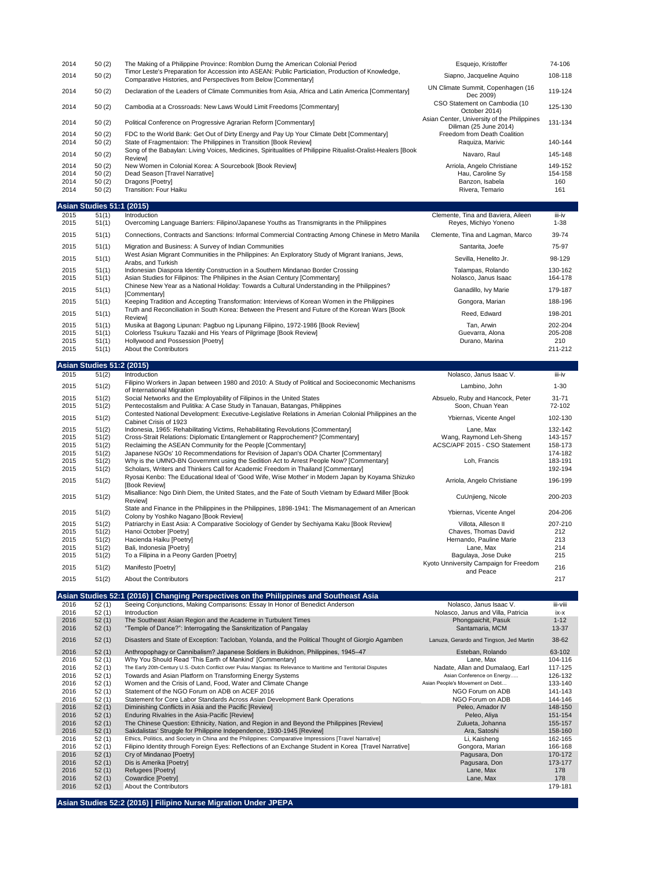| 2014 | 50(2) | The Making of a Philippine Province: Romblon Durng the American Colonial Period                                                                                      | Esquejo, Kristoffer                                                   | 74-106  |
|------|-------|----------------------------------------------------------------------------------------------------------------------------------------------------------------------|-----------------------------------------------------------------------|---------|
| 2014 | 50(2) | Timor Leste's Preparation for Accession into ASEAN: Public Particiation, Production of Knowledge,<br>Comparative Histories, and Perspectives from Below [Commentary] | Siapno, Jacqueline Aquino                                             | 108-118 |
| 2014 | 50(2) | Declaration of the Leaders of Climate Communities from Asia, Africa and Latin America [Commentary]                                                                   | UN Climate Summit, Copenhagen (16<br>Dec 2009)                        | 119-124 |
| 2014 | 50(2) | Cambodia at a Crossroads: New Laws Would Limit Freedoms [Commentary]                                                                                                 | CSO Statement on Cambodia (10)<br>October 2014)                       | 125-130 |
| 2014 | 50(2) | Political Conference on Progressive Agrarian Reform [Commentary]                                                                                                     | Asian Center, University of the Philippines<br>Diliman (25 June 2014) | 131-134 |
| 2014 | 50(2) | FDC to the World Bank: Get Out of Dirty Energy and Pay Up Your Climate Debt [Commentary]                                                                             | Freedom from Death Coalition                                          |         |
| 2014 | 50(2) | State of Fragmentaion: The Philippines in Transition [Book Review]                                                                                                   | Raquiza, Marivic                                                      | 140-144 |
| 2014 | 50(2) | Song of the Babaylan: Living Voices, Medicines, Spiritualities of Philippine Ritualist-Oralist-Healers [Book]<br>Reviewl                                             | Navaro, Raul                                                          | 145-148 |
| 2014 | 50(2) | New Women in Colonial Korea: A Sourcebook [Book Review]                                                                                                              | Arriola, Angelo Christiane                                            | 149-152 |
| 2014 | 50(2) | Dead Season [Travel Narrative]                                                                                                                                       | Hau. Caroline Sv                                                      | 154-158 |
| 2014 | 50(2) | Dragons [Poetry]                                                                                                                                                     | Banzon, Isabela                                                       | 160     |
| 2014 | 50(2) | Transition: Four Haiku                                                                                                                                               | Rivera, Temario                                                       | 161     |

|      | <b>Asian Studies 51:1 (2015)</b> |                                                                                                                          |                                    |          |
|------|----------------------------------|--------------------------------------------------------------------------------------------------------------------------|------------------------------------|----------|
| 2015 | 51(1)                            | Introduction                                                                                                             | Clemente, Tina and Baviera, Aileen | iii-iv   |
| 2015 | 51(1)                            | Overcoming Language Barriers: Filipino/Japanese Youths as Transmigrants in the Philippines                               | Reyes, Michiyo Yoneno              | $1 - 38$ |
| 2015 | 51(1)                            | Connections, Contracts and Sanctions: Informal Commercial Contracting Among Chinese in Metro Manila                      | Clemente, Tina and Lagman, Marco   | 39-74    |
| 2015 | 51(1)                            | Migration and Business: A Survey of Indian Communities                                                                   | Santarita, Joefe                   | 75-97    |
| 2015 | 51(1)                            | West Asian Migrant Communities in the Philippines: An Exploratory Study of Migrant Iranians, Jews,<br>Arabs, and Turkish | Sevilla, Henelito Jr.              | 98-129   |
| 2015 | 51(1)                            | Indonesian Diaspora Identity Construction in a Southern Mindanao Border Crossing                                         | Talampas, Rolando                  | 130-162  |
| 2015 | 51(1)                            | Asian Studies for Filipinos: The Philipines in the Asian Century [Commentary]                                            | Nolasco, Janus Isaac               | 164-178  |
| 2015 | 51(1)                            | Chinese New Year as a National Holiday: Towards a Cultural Understanding in the Philippines?<br><b>[Commentary]</b>      | Ganadillo, Ivy Marie               | 179-187  |
| 2015 | 51(1)                            | Keeping Tradition and Accepting Transformation: Interviews of Korean Women in the Philippines                            | Gongora, Marian                    | 188-196  |
| 2015 | 51(1)                            | Truth and Reconciliation in South Korea: Between the Present and Future of the Korean Wars [Book]<br>Reviewl             | Reed, Edward                       | 198-201  |
| 2015 | 51(1)                            | Musika at Bagong Lipunan: Pagbuo ng Lipunang Filipino, 1972-1986 [Book Review]                                           | Tan, Arwin                         | 202-204  |
| 2015 | 51(1)                            | Colorless Tsukuru Tazaki and His Years of Pilgrimage [Book Review]                                                       | Guevarra, Alona                    | 205-208  |
| 2015 | 51(1)                            | Hollywood and Possession [Poetry]                                                                                        | Durano, Marina                     | 210      |
| 2015 | 51(1)                            | About the Contributors                                                                                                   |                                    | 211-212  |

**Asian Studies 51:2 (2015)**

| 2015 | 51(2) | Introduction                                                                                                                                   | Nolasco, Janus Isaac V.                             | iii-iv    |
|------|-------|------------------------------------------------------------------------------------------------------------------------------------------------|-----------------------------------------------------|-----------|
| 2015 | 51(2) | Filipino Workers in Japan between 1980 and 2010: A Study of Political and Socioeconomic Mechanisms<br>of International Migration               | Lambino, John                                       | $1 - 30$  |
| 2015 | 51(2) | Social Networks and the Employability of Filipinos in the United States                                                                        | Absuelo, Ruby and Hancock, Peter                    | $31 - 71$ |
| 2015 | 51(2) | Pentecostalism and Pulitika: A Case Study in Tanauan, Batangas, Philippines                                                                    | Soon, Chuan Yean                                    | 72-102    |
| 2015 | 51(2) | Contested National Development: Executive-Legislative Relations in Amerian Colonial Philippines an the<br>Cabinet Crisis of 1923               | Ybiernas, Vicente Angel                             | 102-130   |
| 2015 | 51(2) | Indonesia, 1965: Rehabilitating Victims, Rehabilitating Revolutions [Commentary]                                                               | Lane, Max                                           | 132-142   |
| 2015 | 51(2) | Cross-Strait Relations: Diplomatic Entanglement or Rapprochement? [Commentary]                                                                 | Wang, Raymond Leh-Sheng                             | 143-157   |
| 2015 | 51(2) | Reclaiming the ASEAN Community for the People [Commentary]                                                                                     | ACSC/APF 2015 - CSO Statement                       | 158-173   |
| 2015 | 51(2) | Japanese NGOs' 10 Recommendations for Revision of Japan's ODA Charter [Commentary]                                                             |                                                     | 174-182   |
| 2015 | 51(2) | Why is the UMNO-BN Governmnt using the Sedition Act to Arrest People Now? [Commentary]                                                         | Loh, Francis                                        | 183-191   |
| 2015 | 51(2) | Scholars, Writers and Thinkers Call for Academic Freedom in Thailand [Commentary]                                                              |                                                     | 192-194   |
| 2015 | 51(2) | Ryosai Kenbo: The Educational Ideal of 'Good Wife, Wise Mother' in Modern Japan by Koyama Shizuko<br>[Book Review]                             | Arriola, Angelo Christiane                          | 196-199   |
| 2015 | 51(2) | Misalliance: Ngo Dinh Diem, the United States, and the Fate of South Vietnam by Edward Miller [Book<br>Reviewl                                 | CuUnjieng, Nicole                                   | 200-203   |
| 2015 | 51(2) | State and Finance in the Philippines in the Philippines, 1898-1941: The Mismanagement of an American<br>Colony by Yoshiko Nagano [Book Review] | Ybiernas, Vicente Angel                             | 204-206   |
| 2015 | 51(2) | Patriarchy in East Asia: A Comparative Sociology of Gender by Sechiyama Kaku [Book Review]                                                     | Villota, Alleson II                                 | 207-210   |
| 2015 | 51(2) | Hanoi October [Poetry]                                                                                                                         | Chaves, Thomas David                                | 212       |
| 2015 | 51(2) | Hacienda Haiku [Poetry]                                                                                                                        | Hernando, Pauline Marie                             | 213       |
| 2015 | 51(2) | Bali, Indonesia [Poetry]                                                                                                                       | Lane, Max                                           | 214       |
| 2015 | 51(2) | To a Filipina in a Peony Garden [Poetry]                                                                                                       | Bagulaya, Jose Duke                                 | 215       |
| 2015 | 51(2) | Manifesto [Poetry]                                                                                                                             | Kyoto Unniversity Campaign for Freedom<br>and Peace | 216       |
| 2015 | 51(2) | About the Contributors                                                                                                                         |                                                     | 217       |
|      |       |                                                                                                                                                |                                                     |           |

|      |       | Asian Studies 52:1 (2016)   Changing Perspectives on the Philippines and Southeast Asia                           |                                         |          |
|------|-------|-------------------------------------------------------------------------------------------------------------------|-----------------------------------------|----------|
| 2016 | 52(1) | Seeing Conjunctions, Making Comparisons: Essay In Honor of Benedict Anderson                                      | Nolasco, Janus Isaac V.                 | iii-viii |
| 2016 | 52(1) | Introduction                                                                                                      | Nolasco, Janus and Villa, Patricia      | ix-x     |
| 2016 | 52(1) | The Southeast Asian Region and the Academe in Turbulent Times                                                     | Phongpaichit, Pasuk                     | $1 - 12$ |
| 2016 | 52(1) | "Temple of Dance?": Interrogating the Sanskritization of Pangalay                                                 | Santamaria, MCM                         | 13-37    |
| 2016 | 52(1) | Disasters and State of Exception: Tacloban, Yolanda, and the Political Thought of Giorgio Agamben                 | Lanuza, Gerardo and Tingson, Jed Martin | 38-62    |
| 2016 | 52(1) | Anthropophagy or Cannibalism? Japanese Soldiers in Bukidnon, Philippines, 1945–47                                 | Esteban, Rolando                        | 63-102   |
| 2016 | 52(1) | Why You Should Read 'This Earth of Mankind' [Commentary]                                                          | Lane, Max                               | 104-116  |
| 2016 | 52(1) | The Early 20th-Century U.S.-Dutch Conflict over Pulau Mangias: Its Relevance to Maritime and Territorial Disputes | Nadate, Allan and Dumalaog, Earl        | 117-125  |
| 2016 | 52(1) | Towards and Asian Platform on Transforming Energy Systems                                                         | Asian Conference on Energy              | 126-132  |
| 2016 | 52(1) | Women and the Crisis of Land, Food, Water and Climate Change                                                      | Asian People's Movement on Debt         | 133-140  |
| 2016 | 52(1) | Statement of the NGO Forum on ADB on ACEF 2016                                                                    | NGO Forum on ADB                        | 141-143  |
| 2016 | 52(1) | Statement for Core Labor Standards Across Asian Development Bank Operations                                       | NGO Forum on ADB                        | 144-146  |
| 2016 | 52(1) | Diminishing Conflicts in Asia and the Pacific [Review]                                                            | Peleo, Amador IV                        | 148-150  |
| 2016 | 52(1) | Enduring Rivalries in the Asia-Pacific [Review]                                                                   | Peleo, Aliya                            | 151-154  |
| 2016 | 52(1) | The Chinese Question: Ethnicity, Nation, and Region in and Beyond the Philippines [Review]                        | Zulueta, Johanna                        | 155-157  |
| 2016 | 52(1) | Sakdalistas' Struggle for Philippine Independence, 1930-1945 [Review]                                             | Ara, Satoshi                            | 158-160  |
| 2016 | 52(1) | Ethics, Politics, and Society in China and the Philippines: Comparative Impressions [Travel Narrative]            | Li, Kaisheng                            | 162-165  |
| 2016 | 52(1) | Filipino Identity through Foreign Eyes: Reflections of an Exchange Student in Korea [Travel Narrative]            | Gongora, Marian                         | 166-168  |
| 2016 | 52(1) | Cry of Mindanao [Poetry]                                                                                          | Pagusara, Don                           | 170-172  |
| 2016 | 52(1) | Dis is Amerika [Poetry]                                                                                           | Pagusara, Don                           | 173-177  |
| 2016 | 52(1) | Refugees [Poetry]                                                                                                 | Lane, Max                               | 178      |
| 2016 | 52(1) | <b>Cowardice [Poetry]</b>                                                                                         | Lane, Max                               | 178      |
| 2016 | 52(1) | About the Contributors                                                                                            |                                         | 179-181  |
|      |       |                                                                                                                   |                                         |          |

**Asian Studies 52:2 (2016) | Filipino Nurse Migration Under JPEPA**